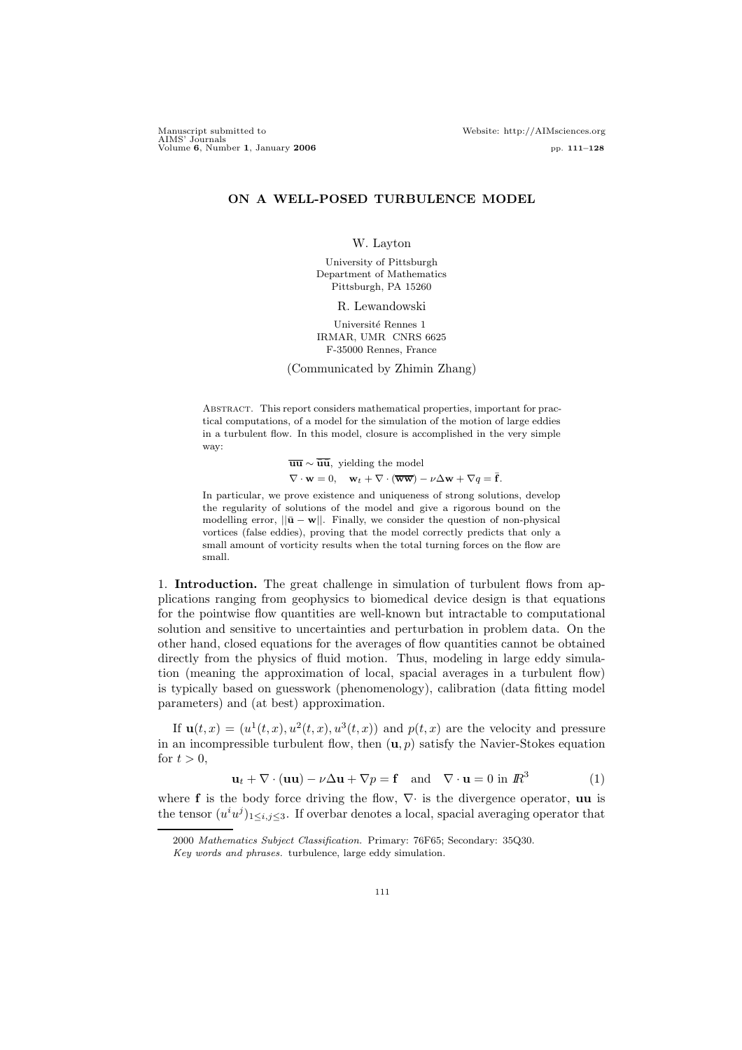# ON A WELL-POSED TURBULENCE MODEL

W. Layton

University of Pittsburgh Department of Mathematics Pittsburgh, PA 15260

R. Lewandowski

Université Rennes 1 IRMAR, UMR CNRS 6625 F-35000 Rennes, France

(Communicated by Zhimin Zhang)

Abstract. This report considers mathematical properties, important for practical computations, of a model for the simulation of the motion of large eddies in a turbulent flow. In this model, closure is accomplished in the very simple way:

> $\overline{\mathbf{u}\mathbf{u}} \sim \overline{\mathbf{u}}\overline{\mathbf{u}},$  yielding the model  $\nabla \cdot \mathbf{w} = 0$ ,  $\mathbf{w}_t + \nabla \cdot (\overline{\mathbf{w}} \overline{\mathbf{w}}) - \nu \Delta \mathbf{w} + \nabla q = \overline{\mathbf{f}}$ .

In particular, we prove existence and uniqueness of strong solutions, develop the regularity of solutions of the model and give a rigorous bound on the modelling error,  $||\bar{\mathbf{u}} - \mathbf{w}||$ . Finally, we consider the question of non-physical vortices (false eddies), proving that the model correctly predicts that only a small amount of vorticity results when the total turning forces on the flow are small.

1. Introduction. The great challenge in simulation of turbulent flows from applications ranging from geophysics to biomedical device design is that equations for the pointwise flow quantities are well-known but intractable to computational solution and sensitive to uncertainties and perturbation in problem data. On the other hand, closed equations for the averages of flow quantities cannot be obtained directly from the physics of fluid motion. Thus, modeling in large eddy simulation (meaning the approximation of local, spacial averages in a turbulent flow) is typically based on guesswork (phenomenology), calibration (data fitting model parameters) and (at best) approximation.

If  $\mathbf{u}(t,x) = (u^1(t,x), u^2(t,x), u^3(t,x))$  and  $p(t,x)$  are the velocity and pressure in an incompressible turbulent flow, then  $(\mathbf{u}, p)$  satisfy the Navier-Stokes equation for  $t > 0$ ,

$$
\mathbf{u}_t + \nabla \cdot (\mathbf{u}\mathbf{u}) - \nu \Delta \mathbf{u} + \nabla p = \mathbf{f} \quad \text{and} \quad \nabla \cdot \mathbf{u} = 0 \text{ in } \mathbb{R}^3 \tag{1}
$$

where f is the body force driving the flow,  $\nabla$  is the divergence operator, uu is the tensor  $(u^i u^j)_{1 \leq i,j \leq 3}$ . If overbar denotes a local, spacial averaging operator that

<sup>2000</sup> Mathematics Subject Classification. Primary: 76F65; Secondary: 35Q30.

Key words and phrases. turbulence, large eddy simulation.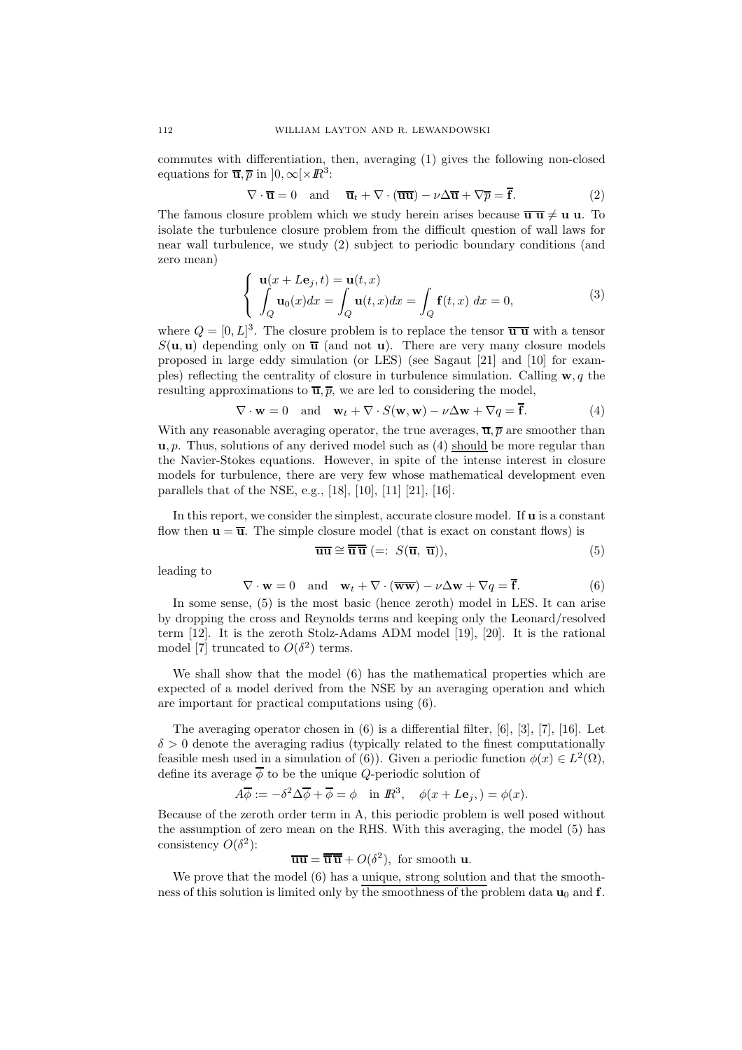commutes with differentiation, then, averaging (1) gives the following non-closed equations for  $\overline{\mathbf{u}}, \overline{p}$  in  $]0, \infty[\times \mathbb{R}^3$ :

$$
\nabla \cdot \overline{\mathbf{u}} = 0 \quad \text{and} \quad \overline{\mathbf{u}}_t + \nabla \cdot (\overline{\mathbf{u}} \overline{\mathbf{u}}) - \nu \Delta \overline{\mathbf{u}} + \nabla \overline{p} = \overline{\mathbf{f}}.
$$
 (2)

The famous closure problem which we study herein arises because  $\overline{\mathbf{u} \mathbf{u}} \neq \mathbf{u} \mathbf{u}$ . To isolate the turbulence closure problem from the difficult question of wall laws for near wall turbulence, we study (2) subject to periodic boundary conditions (and zero mean)

$$
\begin{cases}\n\mathbf{u}(x+L\mathbf{e}_j,t) = \mathbf{u}(t,x) \\
\int_Q \mathbf{u}_0(x)dx = \int_Q \mathbf{u}(t,x)dx = \int_Q \mathbf{f}(t,x) dx = 0,\n\end{cases}
$$
\n(3)

where  $Q = [0, L]^3$ . The closure problem is to replace the tensor  $\overline{u} \overline{u}$  with a tensor  $S(\mathbf{u}, \mathbf{u})$  depending only on  $\overline{\mathbf{u}}$  (and not **u**). There are very many closure models proposed in large eddy simulation (or LES) (see Sagaut [21] and [10] for examples) reflecting the centrality of closure in turbulence simulation. Calling  $\mathbf{w}, q$  the resulting approximations to  $\overline{\mathbf{u}}, \overline{p}$ , we are led to considering the model,

$$
\nabla \cdot \mathbf{w} = 0 \quad \text{and} \quad \mathbf{w}_t + \nabla \cdot S(\mathbf{w}, \mathbf{w}) - \nu \Delta \mathbf{w} + \nabla q = \overline{\mathbf{f}}.
$$
 (4)

With any reasonable averaging operator, the true averages,  $\overline{\mathbf{u}}, \overline{p}$  are smoother than  $u, p$ . Thus, solutions of any derived model such as (4) should be more regular than the Navier-Stokes equations. However, in spite of the intense interest in closure models for turbulence, there are very few whose mathematical development even parallels that of the NSE, e.g., [18], [10], [11] [21], [16].

In this report, we consider the simplest, accurate closure model. If u is a constant flow then  $\mathbf{u} = \overline{\mathbf{u}}$ . The simple closure model (that is exact on constant flows) is

$$
\overline{\mathbf{u}\mathbf{u}} \cong \overline{\overline{\mathbf{u}}}\overline{\mathbf{u}} (=: S(\overline{\mathbf{u}}, \overline{\mathbf{u}})), \tag{5}
$$

leading to

$$
\nabla \cdot \mathbf{w} = 0 \quad \text{and} \quad \mathbf{w}_t + \nabla \cdot (\overline{\mathbf{w}\mathbf{w}}) - \nu \Delta \mathbf{w} + \nabla q = \overline{\mathbf{f}}.
$$
 (6)

In some sense, (5) is the most basic (hence zeroth) model in LES. It can arise by dropping the cross and Reynolds terms and keeping only the Leonard/resolved term [12]. It is the zeroth Stolz-Adams ADM model [19], [20]. It is the rational model [7] truncated to  $O(\delta^2)$  terms.

We shall show that the model  $(6)$  has the mathematical properties which are expected of a model derived from the NSE by an averaging operation and which are important for practical computations using (6).

The averaging operator chosen in (6) is a differential filter, [6], [3], [7], [16]. Let  $\delta > 0$  denote the averaging radius (typically related to the finest computationally feasible mesh used in a simulation of (6)). Given a periodic function  $\phi(x) \in L^2(\Omega)$ , define its average  $\overline{\phi}$  to be the unique *Q*-periodic solution of

$$
A\overline{\phi} := -\delta^2 \Delta \overline{\phi} + \overline{\phi} = \phi \quad \text{in } \mathbb{R}^3, \quad \phi(x + L\mathbf{e}_j) = \phi(x).
$$

Because of the zeroth order term in A, this periodic problem is well posed without the assumption of zero mean on the RHS. With this averaging, the model (5) has consistency  $O(\delta^2)$ :

 $\overline{\mathbf{u}\mathbf{u}} = \overline{\mathbf{u}}\overline{\mathbf{u}} + O(\delta^2)$ , for smooth **u**.

We prove that the model  $(6)$  has a unique, strong solution and that the smoothness of this solution is limited only by the smoothness of the problem data  $\mathbf{u}_0$  and  $\mathbf{f}$ .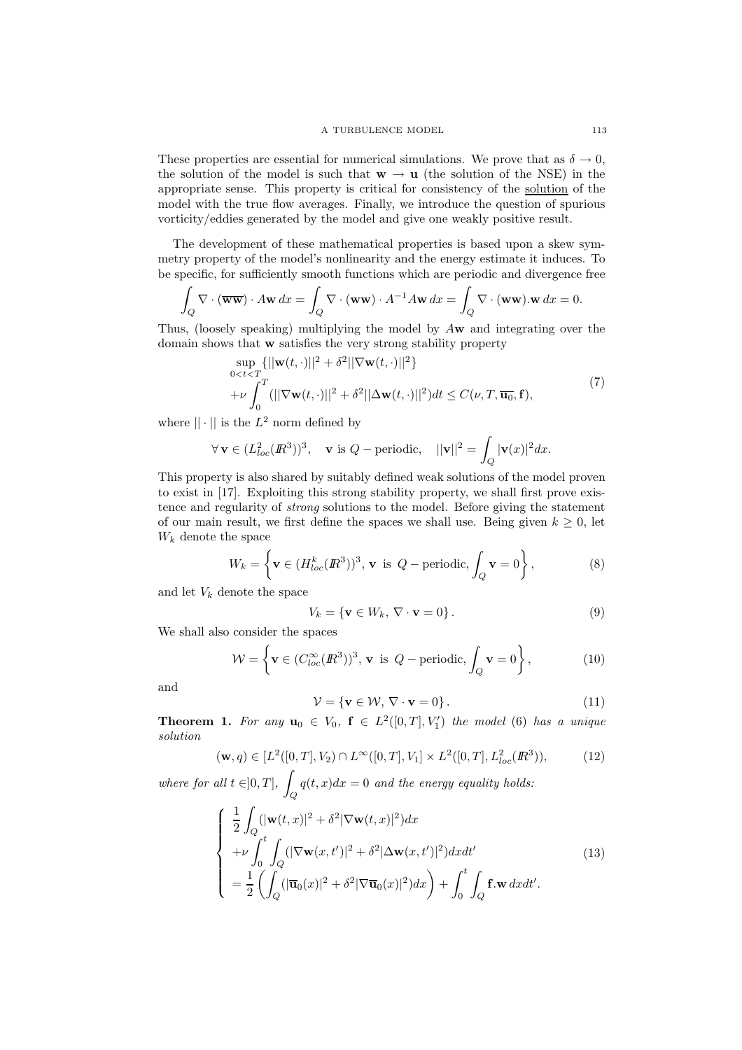These properties are essential for numerical simulations. We prove that as  $\delta \to 0$ , the solution of the model is such that  $w \to u$  (the solution of the NSE) in the appropriate sense. This property is critical for consistency of the solution of the model with the true flow averages. Finally, we introduce the question of spurious vorticity/eddies generated by the model and give one weakly positive result.

The development of these mathematical properties is based upon a skew symmetry property of the model's nonlinearity and the energy estimate it induces. To be specific, for sufficiently smooth functions which are periodic and divergence free

$$
\int_{Q} \nabla \cdot (\overline{\mathbf{w}\mathbf{w}}) \cdot A\mathbf{w} \, dx = \int_{Q} \nabla \cdot (\mathbf{w}\mathbf{w}) \cdot A^{-1} A\mathbf{w} \, dx = \int_{Q} \nabla \cdot (\mathbf{w}\mathbf{w}).\mathbf{w} \, dx = 0.
$$

Thus, (loosely speaking) multiplying the model by Aw and integrating over the domain shows that w satisfies the very strong stability property

$$
\sup_{0 \leq t \leq T} \{ ||\mathbf{w}(t, \cdot)||^2 + \delta^2 ||\nabla \mathbf{w}(t, \cdot)||^2 \} + \nu \int_0^T (||\nabla \mathbf{w}(t, \cdot)||^2 + \delta^2 ||\Delta \mathbf{w}(t, \cdot)||^2) dt \leq C(\nu, T, \overline{\mathbf{u}_0}, \mathbf{f}),
$$
\n(7)

where  $|| \cdot ||$  is the  $L^2$  norm defined by

$$
\forall \mathbf{v} \in (L_{loc}^2(\mathbb{R}^3))^3, \quad \mathbf{v} \text{ is } Q-\text{periodic}, \quad ||\mathbf{v}||^2 = \int_Q |\mathbf{v}(x)|^2 dx.
$$

This property is also shared by suitably defined weak solutions of the model proven to exist in [17]. Exploiting this strong stability property, we shall first prove existence and regularity of strong solutions to the model. Before giving the statement of our main result, we first define the spaces we shall use. Being given  $k \geq 0$ , let  $W_k$  denote the space

$$
W_k = \left\{ \mathbf{v} \in (H_{loc}^k(\mathbb{R}^3))^3, \mathbf{v} \text{ is } Q - \text{periodic}, \int_Q \mathbf{v} = 0 \right\},\tag{8}
$$

and let  $V_k$  denote the space

$$
V_k = \{ \mathbf{v} \in W_k, \, \nabla \cdot \mathbf{v} = 0 \} \,. \tag{9}
$$

We shall also consider the spaces

$$
\mathcal{W} = \left\{ \mathbf{v} \in (C_{loc}^{\infty}(\mathbb{R}^3))^3, \mathbf{v} \text{ is } Q - \text{periodic}, \int_Q \mathbf{v} = 0 \right\},\tag{10}
$$

and

$$
\mathcal{V} = \{ \mathbf{v} \in \mathcal{W}, \, \nabla \cdot \mathbf{v} = 0 \} \,. \tag{11}
$$

**Theorem 1.** For any  $\mathbf{u}_0 \in V_0$ ,  $\mathbf{f} \in L^2([0,T], V'_1)$  the model (6) has a unique solution

$$
(\mathbf{w}, q) \in [L^2([0, T], V_2) \cap L^{\infty}([0, T], V_1] \times L^2([0, T], L^2_{loc}(\mathbb{R}^3)), \tag{12}
$$

where for all  $t \in ]0, T]$ , Q  $q(t, x)dx = 0$  and the energy equality holds:

$$
\begin{cases}\n\frac{1}{2} \int_{Q} (|\mathbf{w}(t,x)|^{2} + \delta^{2} |\nabla \mathbf{w}(t,x)|^{2}) dx \\
+ \nu \int_{0}^{t} \int_{Q} (|\nabla \mathbf{w}(x,t')|^{2} + \delta^{2} |\Delta \mathbf{w}(x,t')|^{2}) dx dt' \\
= \frac{1}{2} \left( \int_{Q} (|\overline{\mathbf{u}}_{0}(x)|^{2} + \delta^{2} |\nabla \overline{\mathbf{u}}_{0}(x)|^{2}) dx \right) + \int_{0}^{t} \int_{Q} \mathbf{f} \cdot \mathbf{w} dx dt'.\n\end{cases}
$$
\n(13)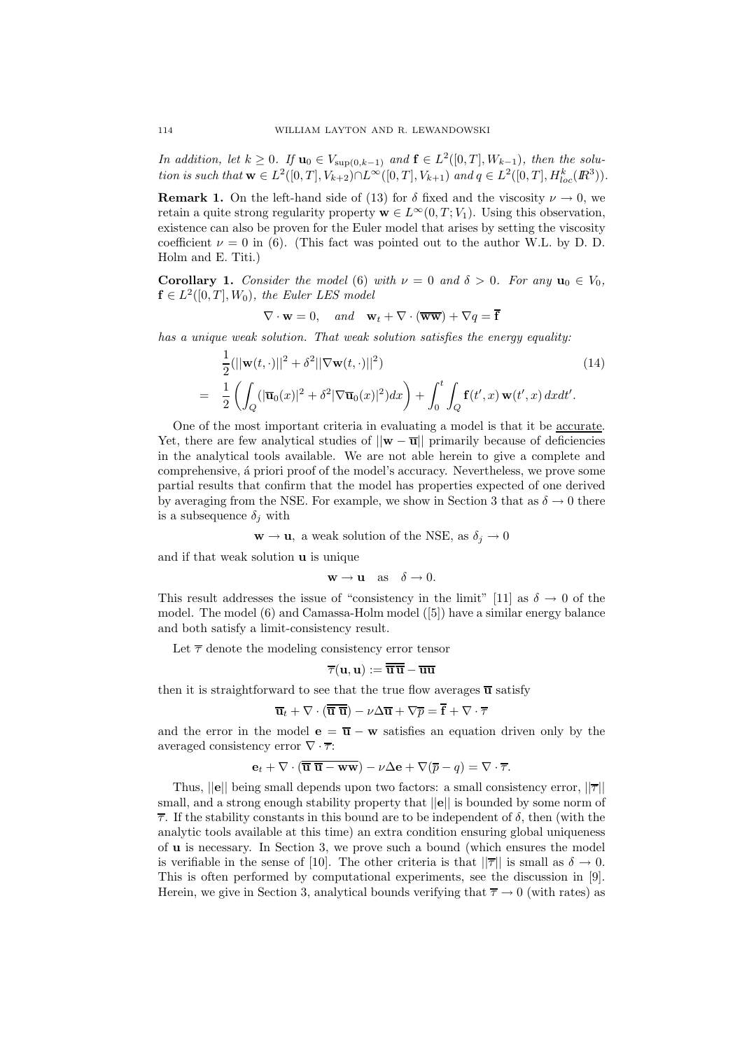In addition, let  $k \geq 0$ . If  $\mathbf{u}_0 \in V_{\text{sup}(0,k-1)}$  and  $\mathbf{f} \in L^2([0,T], W_{k-1})$ , then the solution is such that  $\mathbf{w} \in L^2([0,T], V_{k+2}) \cap L^{\infty}([0,T], V_{k+1})$  and  $q \in L^2([0,T], H_{loc}^k(\mathbb{R}^3)).$ 

**Remark 1.** On the left-hand side of (13) for  $\delta$  fixed and the viscosity  $\nu \to 0$ , we retain a quite strong regularity property  $\mathbf{w} \in L^{\infty}(0,T; V_1)$ . Using this observation, existence can also be proven for the Euler model that arises by setting the viscosity coefficient  $\nu = 0$  in (6). (This fact was pointed out to the author W.L. by D. D. Holm and E. Titi.)

**Corollary 1.** Consider the model (6) with  $\nu = 0$  and  $\delta > 0$ . For any  $\mathbf{u}_0 \in V_0$ ,  $f \in L^2([0,T],W_0)$ , the Euler LES model

$$
\nabla \cdot \mathbf{w} = 0, \quad and \quad \mathbf{w}_t + \nabla \cdot (\overline{\mathbf{w}\mathbf{w}}) + \nabla q = \overline{\mathbf{f}}
$$

has a unique weak solution. That weak solution satisfies the energy equality:

$$
\frac{1}{2}(||\mathbf{w}(t,\cdot)||^2 + \delta^2 ||\nabla \mathbf{w}(t,\cdot)||^2) \tag{14}
$$
\n
$$
= \frac{1}{2} \left( \int_Q (|\overline{\mathbf{u}}_0(x)|^2 + \delta^2 |\nabla \overline{\mathbf{u}}_0(x)|^2) dx \right) + \int_0^t \int_Q \mathbf{f}(t',x) \mathbf{w}(t',x) dx dt'.
$$

One of the most important criteria in evaluating a model is that it be accurate. Yet, there are few analytical studies of  $||\mathbf{w} - \overline{\mathbf{u}}||$  primarily because of deficiencies in the analytical tools available. We are not able herein to give a complete and comprehensive, á priori proof of the model's accuracy. Nevertheless, we prove some partial results that confirm that the model has properties expected of one derived by averaging from the NSE. For example, we show in Section 3 that as  $\delta \to 0$  there is a subsequence  $\delta_i$  with

$$
\mathbf{w} \to \mathbf{u}
$$
, a weak solution of the NSE, as  $\delta_j \to 0$ 

and if that weak solution u is unique

$$
\mathbf{w} \to \mathbf{u} \quad \text{as} \quad \delta \to 0.
$$

This result addresses the issue of "consistency in the limit" [11] as  $\delta \to 0$  of the model. The model (6) and Camassa-Holm model ([5]) have a similar energy balance and both satisfy a limit-consistency result.

Let  $\bar{\tau}$  denote the modeling consistency error tensor

$$
\overline{\tau}(\mathbf{u},\mathbf{u}):=\overline{\overline{\mathbf{u}}}\,\overline{\overline{\mathbf{u}}}-\overline{\mathbf{u}\mathbf{u}}
$$

then it is straightforward to see that the true flow averages  $\overline{u}$  satisfy

$$
\overline{\mathbf{u}}_t + \nabla \cdot (\overline{\overline{\mathbf{u}} \ \overline{\mathbf{u}}}) - \nu \Delta \overline{\mathbf{u}} + \nabla \overline{p} = \overline{\mathbf{f}} + \nabla \cdot \overline{\tau}
$$

and the error in the model  $\mathbf{e} = \overline{\mathbf{u}} - \mathbf{w}$  satisfies an equation driven only by the averaged consistency error  $\nabla \cdot \overline{\tau}$ :

$$
\mathbf{e}_t + \nabla \cdot (\overline{\mathbf{u}} \ \overline{\mathbf{u}} - \mathbf{w} \mathbf{w}) - \nu \Delta \mathbf{e} + \nabla (\overline{p} - q) = \nabla \cdot \overline{\tau}.
$$

Thus,  $||e||$  being small depends upon two factors: a small consistency error,  $||\overline{\tau}||$ small, and a strong enough stability property that  $||e||$  is bounded by some norm of  $\overline{\tau}$ . If the stability constants in this bound are to be independent of  $\delta$ , then (with the analytic tools available at this time) an extra condition ensuring global uniqueness of u is necessary. In Section 3, we prove such a bound (which ensures the model is verifiable in the sense of [10]. The other criteria is that  $||\overline{\tau}||$  is small as  $\delta \to 0$ . This is often performed by computational experiments, see the discussion in [9]. Herein, we give in Section 3, analytical bounds verifying that  $\overline{\tau} \to 0$  (with rates) as

=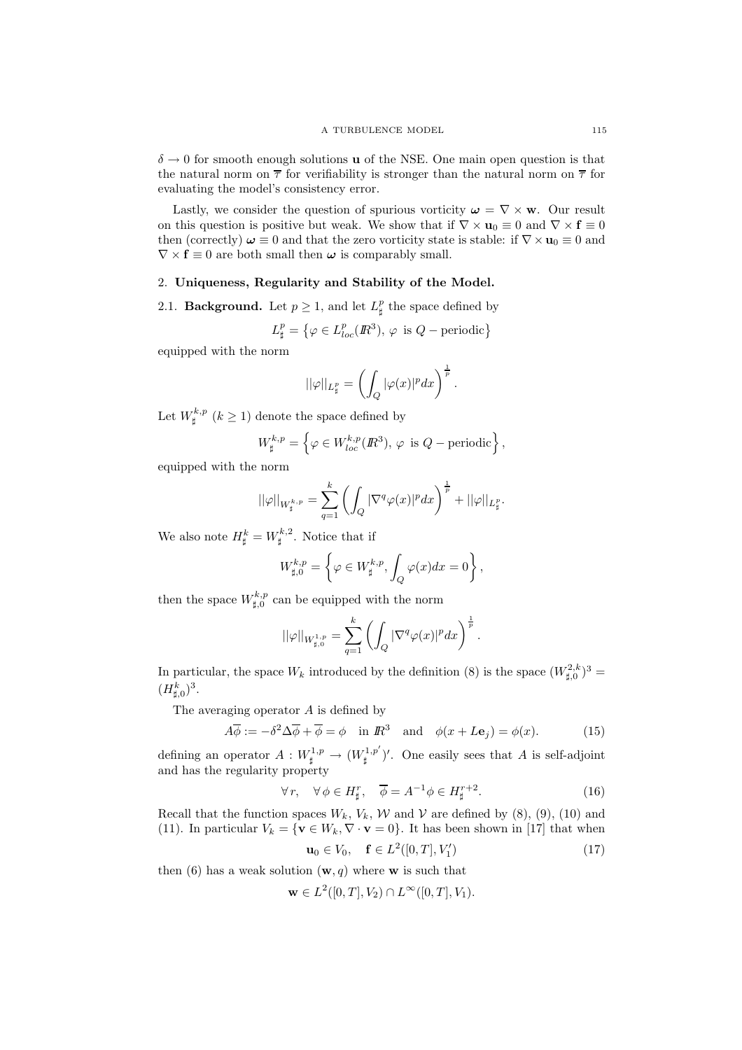$\delta \rightarrow 0$  for smooth enough solutions **u** of the NSE. One main open question is that the natural norm on  $\bar{\tau}$  for verifiability is stronger than the natural norm on  $\bar{\tau}$  for evaluating the model's consistency error.

Lastly, we consider the question of spurious vorticity  $\boldsymbol{\omega} = \nabla \times \mathbf{w}$ . Our result on this question is positive but weak. We show that if  $\nabla \times \mathbf{u}_0 \equiv 0$  and  $\nabla \times \mathbf{f} \equiv 0$ then (correctly)  $\omega \equiv 0$  and that the zero vorticity state is stable: if  $\nabla \times \mathbf{u}_0 \equiv 0$  and  $\nabla \times \mathbf{f} \equiv 0$  are both small then  $\boldsymbol{\omega}$  is comparably small.

# 2. Uniqueness, Regularity and Stability of the Model.

2.1. **Background.** Let  $p \ge 1$ , and let  $L^p_{\sharp}$  the space defined by

$$
L^p_{\sharp} = \left\{ \varphi \in L^p_{loc}(\mathbb{R}^3), \, \varphi \text{ is } Q-\text{periodic} \right\}
$$

equipped with the norm

$$
||\varphi||_{L^p_{\sharp}}=\left(\int_{Q}|\varphi(x)|^pdx\right)^{\frac{1}{p}}.
$$

Let  $W^{k,p}_{\sharp}$   $(k \geq 1)$  denote the space defined by

$$
W^{k,p}_{\sharp} = \left\{ \varphi \in W^{k,p}_{loc}(\mathbb{R}^3), \varphi \text{ is } Q-\text{periodic} \right\},\
$$

equipped with the norm

$$
||\varphi||_{W^{k,p}_{\sharp}}=\sum_{q=1}^k\left(\int_Q|\nabla^q\varphi(x)|^pdx\right)^{\frac{1}{p}}+||\varphi||_{L^p_{\sharp}}.
$$

We also note  $H^k_{\sharp} = W^{k,2}_{\sharp}$ . Notice that if

$$
W_{\sharp,0}^{k,p} = \left\{ \varphi \in W_{\sharp}^{k,p}, \int_{Q} \varphi(x) dx = 0 \right\},\,
$$

then the space  $W_{\sharp,0}^{k,p}$  can be equipped with the norm

$$
||\varphi||_{W^{1,p}_{\sharp,0}}=\sum_{q=1}^k\left(\int_Q|\nabla^q\varphi(x)|^pdx\right)^{\frac{1}{p}}.
$$

In particular, the space  $W_k$  introduced by the definition (8) is the space  $(W_{\sharp,0}^{2,k})^3$  =  $(H_{\sharp,0}^k)^3.$ 

The averaging operator A is defined by

$$
A\overline{\phi} := -\delta^2 \Delta \overline{\phi} + \overline{\phi} = \phi \quad \text{in } \mathbb{R}^3 \quad \text{and} \quad \phi(x + L\mathbf{e}_j) = \phi(x). \tag{15}
$$

defining an operator  $A: W^{1,p}_{\sharp} \to (W^{1,p'}_{\sharp})'$ . One easily sees that A is self-adjoint and has the regularity property

$$
\forall r, \quad \forall \phi \in H^r_{\sharp}, \quad \overline{\phi} = A^{-1} \phi \in H^{r+2}_{\sharp}.
$$
 (16)

Recall that the function spaces  $W_k$ ,  $V_k$ ,  $W$  and  $V$  are defined by (8), (9), (10) and (11). In particular  $V_k = \{ \mathbf{v} \in W_k, \nabla \cdot \mathbf{v} = 0 \}$ . It has been shown in [17] that when  $\mathbf{u}_0 \in V_0$ ,  $\mathbf{f} \in L^2([0,T], V_1')$  $(17)$ 

$$
= 1 \cdot 1 \cdot 1 \cdot 1 \cdot 1 \cdot 1
$$

then (6) has a weak solution  $(\mathbf{w}, q)$  where **w** is such that

$$
\mathbf{w} \in L^2([0,T], V_2) \cap L^{\infty}([0,T], V_1).
$$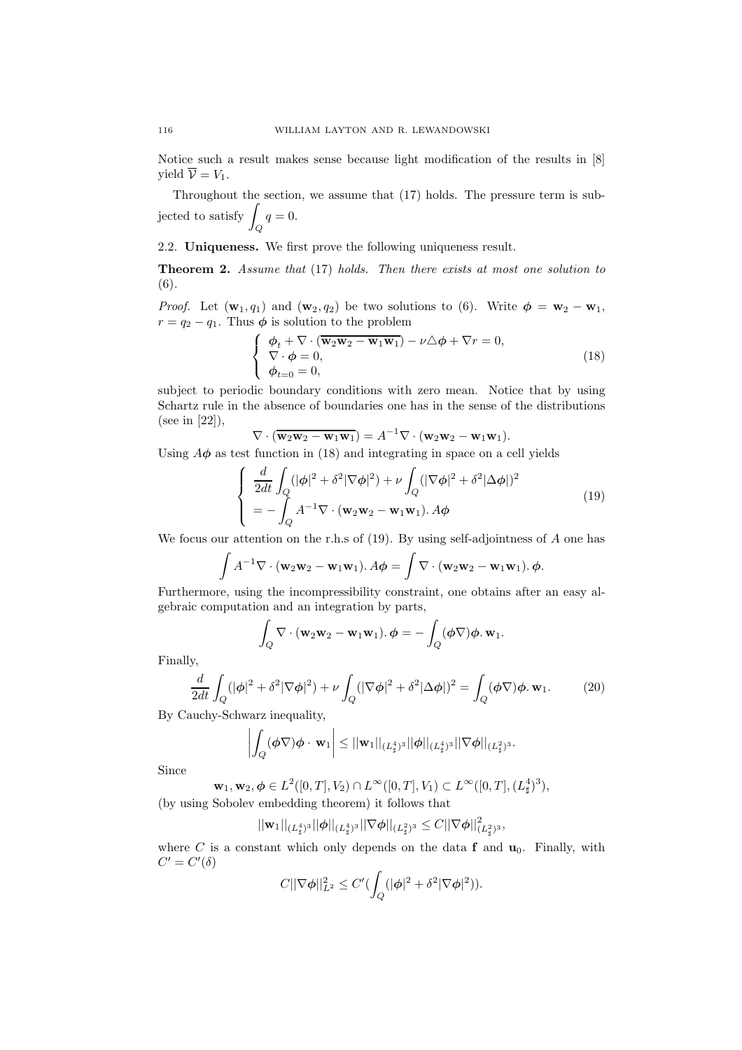Notice such a result makes sense because light modification of the results in [8] vield  $\overline{\mathcal{V}} = V_1$ .

Throughout the section, we assume that (17) holds. The pressure term is subjected to satisfy  $\overline{\phantom{a}}$  $q=0.$ 

2.2. Uniqueness. We first prove the following uniqueness result.

Q

**Theorem 2.** Assume that (17) holds. Then there exists at most one solution to (6).

*Proof.* Let  $(\mathbf{w}_1, q_1)$  and  $(\mathbf{w}_2, q_2)$  be two solutions to (6). Write  $\boldsymbol{\phi} = \mathbf{w}_2 - \mathbf{w}_1$ ,  $r = q_2 - q_1$ . Thus  $\phi$  is solution to the problem

$$
\begin{cases}\n\phi_t + \nabla \cdot (\overline{\mathbf{w}_2 \mathbf{w}_2 - \mathbf{w}_1 \mathbf{w}_1}) - \nu \Delta \phi + \nabla r = 0, \\
\nabla \cdot \phi = 0, \\
\phi_{t=0} = 0,\n\end{cases}
$$
\n(18)

subject to periodic boundary conditions with zero mean. Notice that by using Schartz rule in the absence of boundaries one has in the sense of the distributions (see in [22]),

 $\nabla \cdot (\overline{\mathbf{w}_2 \mathbf{w}_2 - \mathbf{w}_1 \mathbf{w}_1}) = A^{-1} \nabla \cdot (\mathbf{w}_2 \mathbf{w}_2 - \mathbf{w}_1 \mathbf{w}_1).$ 

Using  $A\phi$  as test function in (18) and integrating in space on a cell yields

$$
\begin{cases}\n\frac{d}{2dt} \int_{Q} (|\phi|^{2} + \delta^{2} |\nabla \phi|^{2}) + \nu \int_{Q} (|\nabla \phi|^{2} + \delta^{2} |\Delta \phi|)^{2} \\
= - \int_{Q} A^{-1} \nabla \cdot (\mathbf{w}_{2} \mathbf{w}_{2} - \mathbf{w}_{1} \mathbf{w}_{1}). A \phi\n\end{cases}
$$
\n(19)

We focus our attention on the r.h.s of (19). By using self-adjointness of A one has

$$
\int A^{-1} \nabla \cdot (\mathbf{w}_2 \mathbf{w}_2 - \mathbf{w}_1 \mathbf{w}_1). A \phi = \int \nabla \cdot (\mathbf{w}_2 \mathbf{w}_2 - \mathbf{w}_1 \mathbf{w}_1). \phi.
$$

Furthermore, using the incompressibility constraint, one obtains after an easy algebraic computation and an integration by parts,

$$
\int_Q \nabla \cdot (\mathbf{w}_2 \mathbf{w}_2 - \mathbf{w}_1 \mathbf{w}_1) \cdot \boldsymbol{\phi} = - \int_Q (\boldsymbol{\phi} \nabla) \boldsymbol{\phi} \cdot \mathbf{w}_1.
$$

Finally,

$$
\frac{d}{2dt} \int_Q (|\phi|^2 + \delta^2 |\nabla \phi|^2) + \nu \int_Q (|\nabla \phi|^2 + \delta^2 |\Delta \phi|)^2 = \int_Q (\phi \nabla) \phi \cdot \mathbf{w}_1.
$$
 (20)

By Cauchy-Schwarz inequality,

$$
\left|\int_Q (\phi \nabla) \phi \cdot \mathbf{w}_1\right| \leq ||\mathbf{w}_1||_{(L^4_\sharp)^3} ||\phi||_{(L^4_\sharp)^3} ||\nabla \phi||_{(L^2_\sharp)^3}.
$$

Since

$$
\mathbf{w}_1, \mathbf{w}_2, \phi \in L^2([0, T], V_2) \cap L^\infty([0, T], V_1) \subset L^\infty([0, T], (L^4_\sharp)^3),
$$

(by using Sobolev embedding theorem) it follows that

$$
||\mathbf{w}_1||_{(L^4_\sharp)^3} ||\boldsymbol{\phi}||_{(L^4_\sharp)^3} ||\nabla \boldsymbol{\phi}||_{(L^2_\sharp)^3} \leq C ||\nabla \boldsymbol{\phi}||^2_{(L^2_\sharp)^3},
$$

where  $C$  is a constant which only depends on the data  $f$  and  $u_0$ . Finally, with  $C' = C'(\delta)$ 

$$
C||\nabla \phi||_{L^2}^2 \leq C'(\int_Q (|\phi|^2 + \delta^2 |\nabla \phi|^2)).
$$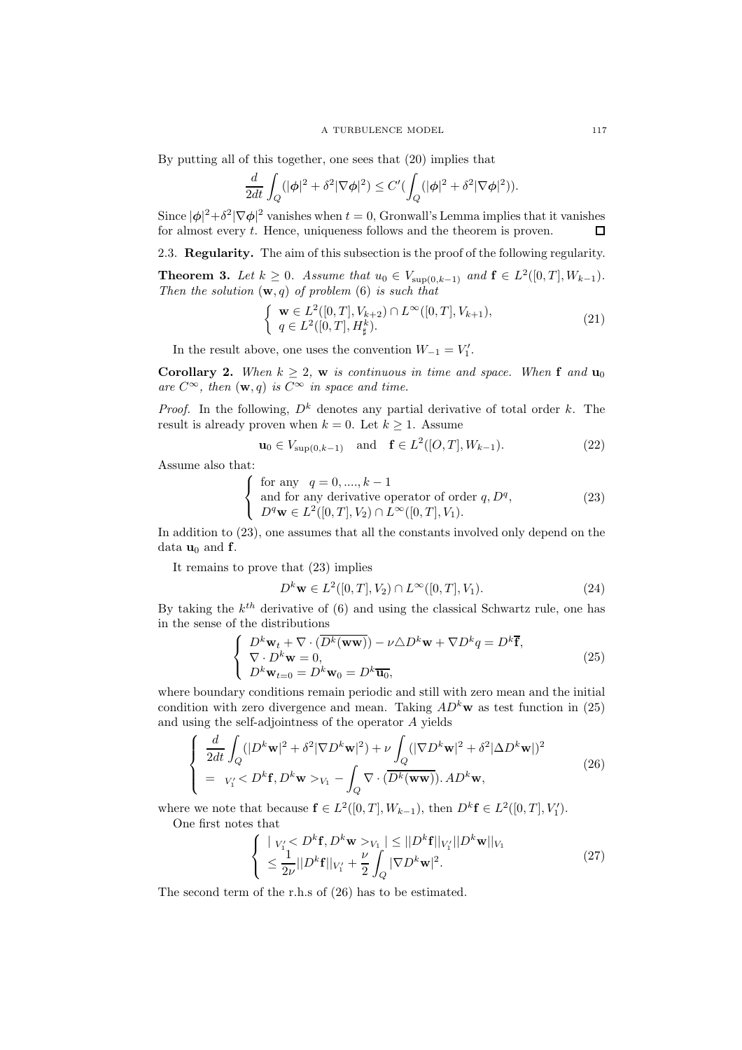By putting all of this together, one sees that (20) implies that

$$
\frac{d}{2dt} \int_Q (|\phi|^2 + \delta^2 |\nabla \phi|^2) \le C' \bigl( \int_Q (|\phi|^2 + \delta^2 |\nabla \phi|^2) \bigr).
$$

Since  $|\phi|^2 + \delta^2 |\nabla \phi|^2$  vanishes when  $t = 0$ , Gronwall's Lemma implies that it vanishes for almost every t. Hence, uniqueness follows and the theorem is proven.  $\Box$ 

2.3. Regularity. The aim of this subsection is the proof of the following regularity.

**Theorem 3.** Let  $k \geq 0$ . Assume that  $u_0 \in V_{\text{sup}(0,k-1)}$  and  $\mathbf{f} \in L^2([0,T], W_{k-1})$ . Then the solution  $(\mathbf{w}, q)$  of problem (6) is such that

$$
\begin{cases} \mathbf{w} \in L^{2}([0, T], V_{k+2}) \cap L^{\infty}([0, T], V_{k+1}), \\ q \in L^{2}([0, T], H_{\sharp}^{k}). \end{cases}
$$
(21)

In the result above, one uses the convention  $W_{-1} = V'_1$ .

**Corollary 2.** When  $k \geq 2$ , w is continuous in time and space. When f and  $\mathbf{u}_0$ are  $C^{\infty}$ , then  $(\mathbf{w}, q)$  is  $C^{\infty}$  in space and time.

*Proof.* In the following,  $D^k$  denotes any partial derivative of total order k. The result is already proven when  $k = 0$ . Let  $k > 1$ . Assume

$$
\mathbf{u}_0 \in V_{\sup(0,k-1)} \quad \text{and} \quad \mathbf{f} \in L^2([O,T], W_{k-1}). \tag{22}
$$

Assume also that:

$$
\begin{cases}\n\text{for any } q = 0, \dots, k - 1 \\
\text{and for any derivative operator of order } q, D^q,\n\end{cases} \tag{23}
$$
\n
$$
D^q \mathbf{w} \in L^2([0, T], V_2) \cap L^\infty([0, T], V_1).
$$

In addition to (23), one assumes that all the constants involved only depend on the data  $\mathbf{u}_0$  and f.

It remains to prove that (23) implies

$$
D^{k} \mathbf{w} \in L^{2}([0, T], V_{2}) \cap L^{\infty}([0, T], V_{1}).
$$
\n(24)

By taking the  $k^{th}$  derivative of (6) and using the classical Schwartz rule, one has in the sense of the distributions

$$
\begin{cases}\nD^k \mathbf{w}_t + \nabla \cdot (\overline{D^k(\mathbf{w}\mathbf{w})}) - \nu \triangle D^k \mathbf{w} + \nabla D^k q = D^k \overline{\mathbf{f}},\\ \nabla \cdot D^k \mathbf{w} = 0,\\ \nD^k \mathbf{w}_{t=0} = D^k \mathbf{w}_0 = D^k \overline{\mathbf{u}_0},\n\end{cases} \tag{25}
$$

where boundary conditions remain periodic and still with zero mean and the initial condition with zero divergence and mean. Taking  $AD<sup>k</sup>$  w as test function in (25) and using the self-adjointness of the operator A yields

$$
\begin{cases}\n\frac{d}{2dt} \int_{Q} (|D^k \mathbf{w}|^2 + \delta^2 |\nabla D^k \mathbf{w}|^2) + \nu \int_{Q} (|\nabla D^k \mathbf{w}|^2 + \delta^2 |\Delta D^k \mathbf{w}|)^2 \\
= \nu'_1 < D^k \mathbf{f}, D^k \mathbf{w} > \nu_1 - \int_{Q} \nabla \cdot (\overline{D^k(\mathbf{w}\mathbf{w})}). \, AD^k \mathbf{w},\n\end{cases} \tag{26}
$$

where we note that because  $\mathbf{f} \in L^2([0,T], W_{k-1})$ , then  $D^k \mathbf{f} \in L^2([0,T], V'_1)$ . One first notes that

$$
\begin{cases} \n|_{V_1'} < D^k \mathbf{f}, D^k \mathbf{w} >_{V_1} \n\leq ||D^k \mathbf{f}||_{V_1'} ||D^k \mathbf{w}||_{V_1} \\
&\leq \frac{1}{2\nu} ||D^k \mathbf{f}||_{V_1'} + \frac{\nu}{2} \int_Q |\nabla D^k \mathbf{w}|^2. \n\end{cases} \tag{27}
$$

The second term of the r.h.s of (26) has to be estimated.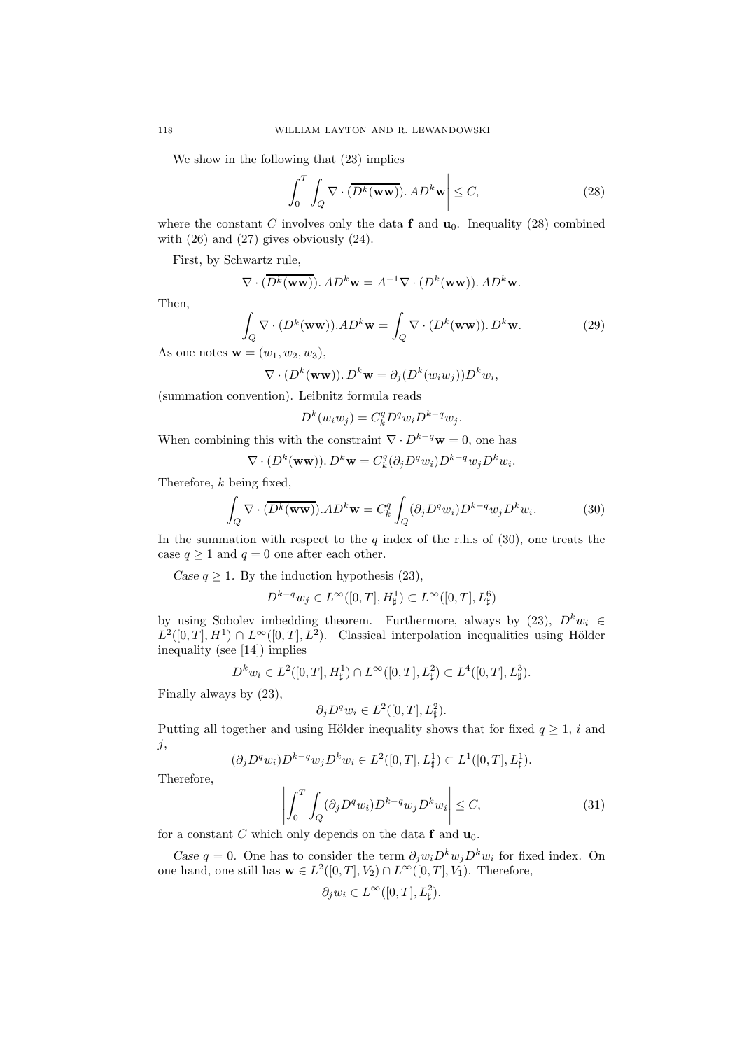We show in the following that (23) implies

$$
\left| \int_0^T \int_Q \nabla \cdot (\overline{D^k(\mathbf{ww})}). \, AD^k \mathbf{w} \right| \le C,\tag{28}
$$

where the constant C involves only the data  $f$  and  $u_0$ . Inequality (28) combined with  $(26)$  and  $(27)$  gives obviously  $(24)$ .

First, by Schwartz rule,

$$
\nabla \cdot (\overline{D^k(\mathbf{ww})}).AD^k\mathbf{w} = A^{-1}\nabla \cdot (D^k(\mathbf{ww})).AD^k\mathbf{w}.
$$

Then,

$$
\int_{Q} \nabla \cdot (\overline{D^{k}(\mathbf{ww})}).AD^{k}\mathbf{w} = \int_{Q} \nabla \cdot (D^{k}(\mathbf{ww})).D^{k}\mathbf{w}.
$$
\n(29)

As one notes  $\mathbf{w} = (w_1, w_2, w_3)$ ,

 $\nabla \cdot (D^k(\mathbf{ww})). D^k \mathbf{w} = \partial_j (D^k(w_i w_j)) D^k w_i,$ 

(summation convention). Leibnitz formula reads

$$
D^k(w_iw_j) = C_k^q D^q w_i D^{k-q} w_j.
$$

When combining this with the constraint  $\nabla \cdot D^{k-q} \mathbf{w} = 0$ , one has

$$
\nabla \cdot (D^k(\mathbf{w}\mathbf{w})). D^k \mathbf{w} = C_k^q (\partial_j D^q w_i) D^{k-q} w_j D^k w_i.
$$

Therefore, k being fixed,

$$
\int_{Q} \nabla \cdot (\overline{D^{k}(\mathbf{ww})}).AD^{k}\mathbf{w} = C_{k}^{q} \int_{Q} (\partial_{j} D^{q} w_{i}) D^{k-q} w_{j} D^{k} w_{i}.
$$
\n(30)

In the summation with respect to the  $q$  index of the r.h.s of (30), one treats the case  $q \ge 1$  and  $q = 0$  one after each other.

Case  $q \ge 1$ . By the induction hypothesis (23),

$$
D^{k-q}w_j \in L^{\infty}([0,T],H^1_{\sharp}) \subset L^{\infty}([0,T],L^6_{\sharp})
$$

by using Sobolev imbedding theorem. Furthermore, always by (23),  $D^k w_i \in$  $L^2([0,T], H^1) \cap L^{\infty}([0,T], L^2)$ . Classical interpolation inequalities using Hölder inequality (see [14]) implies

$$
D^k w_i \in L^2([0,T], H^1_{\sharp}) \cap L^{\infty}([0,T], L^2_{\sharp}) \subset L^4([0,T], L^3_{\sharp}).
$$

Finally always by (23),

$$
\partial_j D^q w_i \in L^2([0,T],L^2_{\sharp}).
$$

Putting all together and using Hölder inequality shows that for fixed  $q \geq 1$ , i and  $j$ ,

$$
(\partial_j D^q w_i) D^{k-q} w_j D^k w_i \in L^2([0,T], L^1_{\sharp}) \subset L^1([0,T], L^1_{\sharp}).
$$

Therefore,

$$
\left| \int_0^T \int_Q (\partial_j D^q w_i) D^{k-q} w_j D^k w_i \right| \le C,\tag{31}
$$

for a constant C which only depends on the data f and  $\mathbf{u}_0$ .

Case q = 0. One has to consider the term  $\partial_i w_i D^k w_j D^k w_i$  for fixed index. On one hand, one still has  $\mathbf{w} \in L^2([0,T], V_2) \cap L^\infty([0,T], V_1)$ . Therefore,

$$
\partial_j w_i \in L^\infty([0,T], L^2_{\sharp}).
$$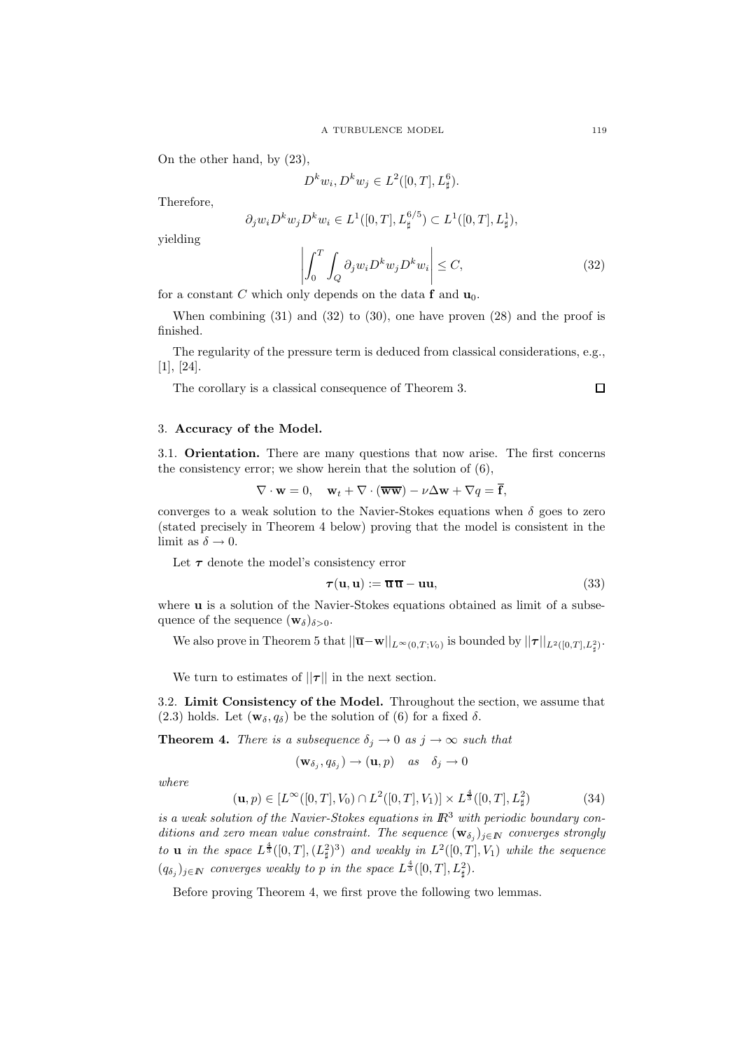On the other hand, by (23),

$$
D^k w_i, D^k w_j \in L^2([0, T], L^6_{\sharp}).
$$

Therefore,

$$
\partial_j w_i D^k w_j D^k w_i \in L^1([0, T], L^{6/5}) \subset L^1([0, T], L^1_{\sharp}),
$$

yielding

$$
\left| \int_0^T \int_Q \partial_j w_i D^k w_j D^k w_i \right| \le C,\tag{32}
$$

for a constant C which only depends on the data  $f$  and  $u_0$ .

When combining  $(31)$  and  $(32)$  to  $(30)$ , one have proven  $(28)$  and the proof is finished.

The regularity of the pressure term is deduced from classical considerations, e.g., [1], [24].

The corollary is a classical consequence of Theorem 3.

# 3. Accuracy of the Model.

3.1. Orientation. There are many questions that now arise. The first concerns the consistency error; we show herein that the solution of (6),

$$
\nabla \cdot \mathbf{w} = 0, \quad \mathbf{w}_t + \nabla \cdot (\overline{\mathbf{w} \mathbf{w}}) - \nu \Delta \mathbf{w} + \nabla q = \overline{\mathbf{f}},
$$

converges to a weak solution to the Navier-Stokes equations when  $\delta$  goes to zero (stated precisely in Theorem 4 below) proving that the model is consistent in the limit as  $\delta \to 0$ .

Let  $\tau$  denote the model's consistency error

$$
\tau(\mathbf{u}, \mathbf{u}) := \overline{\mathbf{u}} \, \overline{\mathbf{u}} - \mathbf{u} \mathbf{u},\tag{33}
$$

where **u** is a solution of the Navier-Stokes equations obtained as limit of a subsequence of the sequence  $(\mathbf{w}_{\delta})_{\delta>0}$ .

We also prove in Theorem 5 that  $||\overline{\mathbf{u}} - \mathbf{w}||_{L^{\infty}(0,T;V_0)}$  is bounded by  $||\boldsymbol{\tau}||_{L^2([0,T],L^2_{\sharp})}$ .

We turn to estimates of  $||\tau||$  in the next section.

3.2. Limit Consistency of the Model. Throughout the section, we assume that (2.3) holds. Let  $(\mathbf{w}_{\delta}, q_{\delta})$  be the solution of (6) for a fixed  $\delta$ .

**Theorem 4.** There is a subsequence  $\delta_j \to 0$  as  $j \to \infty$  such that

$$
(\mathbf{w}_{\delta_j}, q_{\delta_j}) \to (\mathbf{u}, p) \quad \text{as} \quad \delta_j \to 0
$$

where

$$
(\mathbf{u}, p) \in [L^{\infty}([0, T], V_0) \cap L^2([0, T], V_1)] \times L^{\frac{4}{3}}([0, T], L^2_{\sharp})
$$
\n(34)

is a weak solution of the Navier-Stokes equations in  $\mathbb{R}^3$  with periodic boundary conditions and zero mean value constraint. The sequence  $(\mathbf{w}_{\delta_j})_{j \in \mathbb{N}}$  converges strongly to **u** in the space  $L^{\frac{4}{3}}([0,T],(L_{\sharp}^2)^3)$  and weakly in  $L^2([0,T],V_1)$  while the sequence  $(q_{\delta_j})_{j \in \mathbb{N}}$  converges weakly to p in the space  $L^{\frac{4}{3}}([0,T], L^2_{\sharp}).$ 

Before proving Theorem 4, we first prove the following two lemmas.

 $\Box$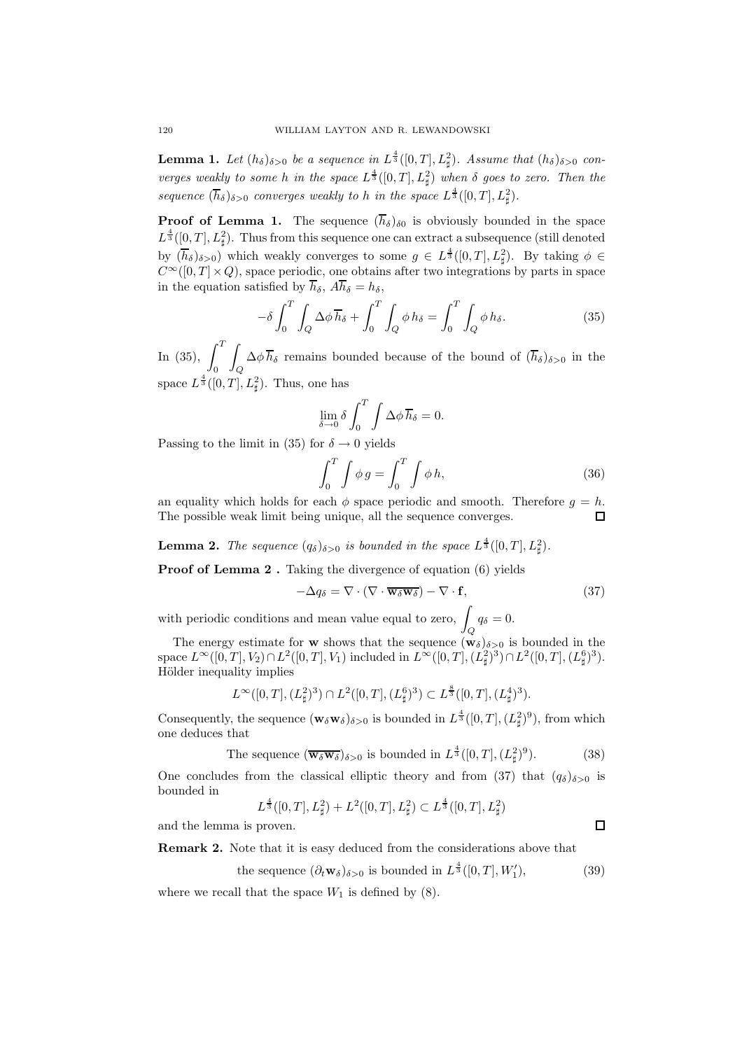**Lemma 1.** Let  $(h_{\delta})_{\delta>0}$  be a sequence in  $L^{\frac{4}{3}}([0,T], L^2_{\sharp})$ . Assume that  $(h_{\delta})_{\delta>0}$  converges weakly to some h in the space  $L^{\frac{4}{3}}([0,T], L^2_{\sharp})$  when  $\delta$  goes to zero. Then the sequence  $(\overline{h}_{\delta})_{\delta>0}$  converges weakly to h in the space  $L^{\frac{4}{3}}([0,T], L^2_{\sharp}).$ 

**Proof of Lemma 1.** The sequence  $(\overline{h}_{\delta})_{\delta0}$  is obviously bounded in the space  $L^{\frac{4}{3}}([0,T], L^2_{\sharp}).$  Thus from this sequence one can extract a subsequence (still denoted by  $(\overline{h}_{\delta})_{\delta>0}$  which weakly converges to some  $g \in L^{\frac{4}{3}}([0,T], L^2_{\sharp})$ . By taking  $\phi \in$  $C^{\infty}([0,T] \times Q)$ , space periodic, one obtains after two integrations by parts in space in the equation satisfied by  $\overline{h}_{\delta}$ ,  $A\overline{h}_{\delta} = h_{\delta}$ ,

$$
-\delta \int_0^T \int_Q \Delta \phi \overline{h}_{\delta} + \int_0^T \int_Q \phi h_{\delta} = \int_0^T \int_Q \phi h_{\delta}.
$$
 (35)

In (35),  $\int_1^T$  $\mathbf{0}$ Z  $\bigcup_{Q} \Delta \phi \, h_{\delta}$  remains bounded because of the bound of  $(h_{\delta})_{\delta>0}$  in the space  $L^{\frac{4}{3}}([0,T], L^2_{\sharp}).$  Thus, one has

$$
\lim_{\delta \to 0} \delta \int_0^T \int \Delta \phi \, \overline{h}_{\delta} = 0.
$$

Passing to the limit in (35) for  $\delta \rightarrow 0$  yields

$$
\int_0^T \int \phi g = \int_0^T \int \phi h,\tag{36}
$$

an equality which holds for each  $\phi$  space periodic and smooth. Therefore  $g = h$ . The possible weak limit being unique, all the sequence converges.

**Lemma 2.** The sequence  $(q_\delta)_{\delta>0}$  is bounded in the space  $L^{\frac{4}{3}}([0,T], L^2_{\sharp}).$ 

**Proof of Lemma 2.** Taking the divergence of equation (6) yields

$$
-\Delta q_{\delta} = \nabla \cdot (\nabla \cdot \overline{\mathbf{w}_{\delta} \mathbf{w}_{\delta}}) - \nabla \cdot \mathbf{f},\tag{37}
$$

with periodic conditions and mean value equal to zero,  $\int q_\delta = 0$ .

The energy estimate for **w** shows that the sequence  $(\mathbf{w}_{\delta})_{\delta>0}$  is bounded in the space  $L^{\infty}([0,T], V_2) \cap L^2([0,T], V_1)$  included in  $L^{\infty}([0,T], (L^2_{\sharp})^3) \cap L^2([0,T], (L^6_{\sharp})^3)$ . Hölder inequality implies

$$
L^{\infty}([0,T],(L^2_{\sharp})^3) \cap L^2([0,T],(L^6_{\sharp})^3) \subset L^{\frac{8}{3}}([0,T],(L^4_{\sharp})^3).
$$

Consequently, the sequence  $(\mathbf{w}_{\delta} \mathbf{w}_{\delta})_{\delta>0}$  is bounded in  $L^{\frac{4}{3}}([0,T],(L^2_{\sharp})^9)$ , from which one deduces that

The sequence 
$$
(\overline{\mathbf{w}_{\delta}\mathbf{w}_{\delta}})_{\delta>0}
$$
 is bounded in  $L^{\frac{4}{3}}([0,T], (L^2_{\sharp})^9)$ . (38)

One concludes from the classical elliptic theory and from (37) that  $(q_\delta)_{\delta>0}$  is bounded in

$$
L^\frac{4}{3}([0,T],L^2_{\sharp})+L^2([0,T],L^2_{\sharp})\subset L^\frac{4}{3}([0,T],L^2_{\sharp})
$$

and the lemma is proven.

Remark 2. Note that it is easy deduced from the considerations above that

the sequence  $(\partial_t \mathbf{w}_\delta)_{\delta>0}$  is bounded in  $L^{\frac{4}{3}}([0,T], W_1'$  $(39)$ 

 $\Box$ 

where we recall that the space  $W_1$  is defined by  $(8)$ .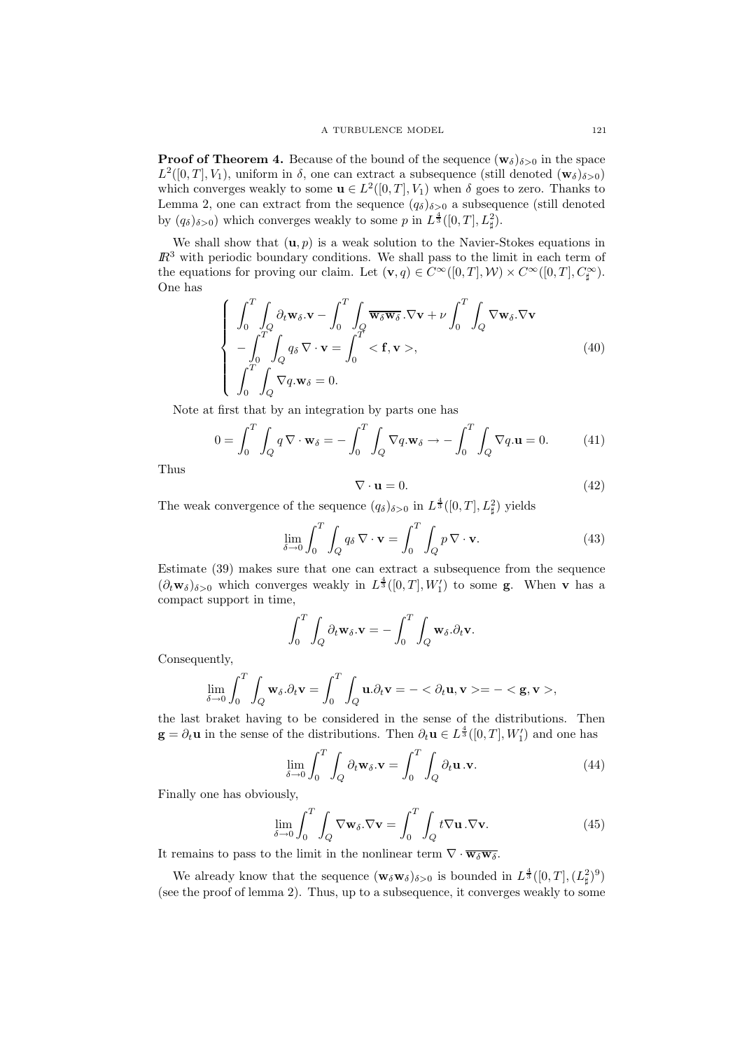**Proof of Theorem 4.** Because of the bound of the sequence  $(\mathbf{w}_{\delta})_{\delta>0}$  in the space  $L^2([0,T], V_1)$ , uniform in  $\delta$ , one can extract a subsequence (still denoted  $(\mathbf{w}_{\delta})_{\delta>0}$ ) which converges weakly to some  $\mathbf{u} \in L^2([0,T], V_1)$  when  $\delta$  goes to zero. Thanks to Lemma 2, one can extract from the sequence  $(q_\delta)_{\delta>0}$  a subsequence (still denoted by  $(q_\delta)_{\delta>0}$ ) which converges weakly to some p in  $L^{\frac{4}{3}}([0,T], L^2_{\sharp}).$ 

We shall show that  $(\mathbf{u}, p)$  is a weak solution to the Navier-Stokes equations in  $I\!\!R<sup>3</sup>$  with periodic boundary conditions. We shall pass to the limit in each term of the equations for proving our claim. Let  $(\mathbf{v}, q) \in C^{\infty}([0, T], \mathcal{W}) \times C^{\infty}([0, T], C^{\infty}_{\sharp}).$ One has

$$
\begin{cases}\n\int_0^T \int_Q \partial_t \mathbf{w}_\delta \cdot \mathbf{v} - \int_0^T \int_Q \overline{\mathbf{w}_\delta \mathbf{w}_\delta} \cdot \nabla \mathbf{v} + \nu \int_0^T \int_Q \nabla \mathbf{w}_\delta \cdot \nabla \mathbf{v} \\
-\int_0^T \int_Q q_\delta \nabla \cdot \mathbf{v} = \int_0^T <\mathbf{f}, \mathbf{v}>,
$$
\n
$$
\int_0^T \int_Q \nabla q \cdot \mathbf{w}_\delta = 0.\n\end{cases} \tag{40}
$$

Note at first that by an integration by parts one has

$$
0 = \int_0^T \int_Q q \, \nabla \cdot \mathbf{w}_\delta = - \int_0^T \int_Q \nabla q . \mathbf{w}_\delta \to - \int_0^T \int_Q \nabla q . \mathbf{u} = 0. \tag{41}
$$

Thus

$$
\nabla \cdot \mathbf{u} = 0. \tag{42}
$$

The weak convergence of the sequence  $(q_\delta)_{\delta>0}$  in  $L^{\frac{4}{3}}([0,T], L^2_{\sharp})$  yields

$$
\lim_{\delta \to 0} \int_0^T \int_Q q_\delta \, \nabla \cdot \mathbf{v} = \int_0^T \int_Q p \, \nabla \cdot \mathbf{v}.\tag{43}
$$

Estimate (39) makes sure that one can extract a subsequence from the sequence  $(\partial_t \mathbf{w}_\delta)_{\delta>0}$  which converges weakly in  $L^{\frac{4}{3}}([0,T],W'_1)$  to some **g**. When **v** has a compact support in time,

$$
\int_0^T \int_Q \partial_t \mathbf{w}_\delta \cdot \mathbf{v} = - \int_0^T \int_Q \mathbf{w}_\delta \cdot \partial_t \mathbf{v}.
$$

Consequently,

$$
\lim_{\delta \to 0} \int_0^T \int_Q \mathbf{w}_{\delta} \cdot \partial_t \mathbf{v} = \int_0^T \int_Q \mathbf{u} \cdot \partial_t \mathbf{v} = - \langle \partial_t \mathbf{u}, \mathbf{v} \rangle = - \langle \mathbf{g}, \mathbf{v} \rangle,
$$

the last braket having to be considered in the sense of the distributions. Then  $\mathbf{g} = \partial_t \mathbf{u}$  in the sense of the distributions. Then  $\partial_t \mathbf{u} \in L^{\frac{4}{3}}([0,T], W'_1)$  and one has

$$
\lim_{\delta \to 0} \int_0^T \int_Q \partial_t \mathbf{w}_\delta \cdot \mathbf{v} = \int_0^T \int_Q \partial_t \mathbf{u} \cdot \mathbf{v}.
$$
 (44)

Finally one has obviously,

$$
\lim_{\delta \to 0} \int_0^T \int_Q \nabla \mathbf{w}_\delta \cdot \nabla \mathbf{v} = \int_0^T \int_Q t \nabla \mathbf{u} \cdot \nabla \mathbf{v}.
$$
 (45)

It remains to pass to the limit in the nonlinear term  $\nabla \cdot \overline{\mathbf{w}_{\delta} \mathbf{w}_{\delta}}$ .

We already know that the sequence  $(\mathbf{w}_{\delta}\mathbf{w}_{\delta})_{\delta>0}$  is bounded in  $L^{\frac{4}{3}}([0,T],(L^2_{\sharp})^9)$ (see the proof of lemma 2). Thus, up to a subsequence, it converges weakly to some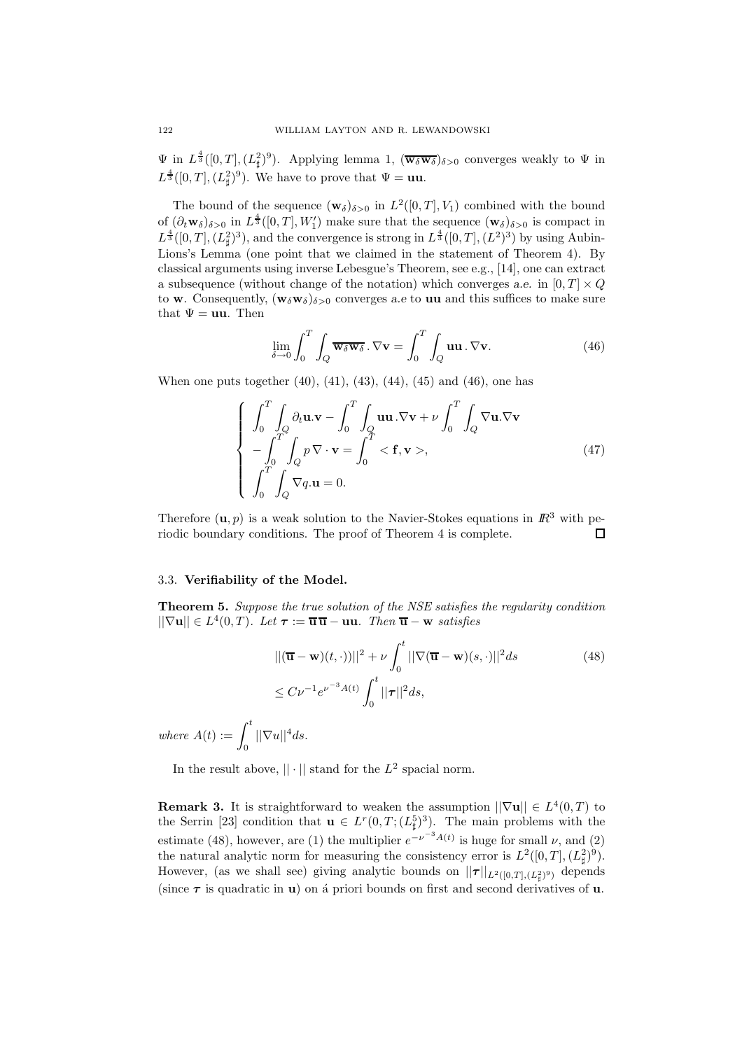$\Psi$  in  $L^{\frac{4}{3}}([0,T],(L^2_{\sharp})^9)$ . Applying lemma 1,  $(\overline{\mathbf{w}_{\delta}\mathbf{w}_{\delta}})_{\delta>0}$  converges weakly to  $\Psi$  in  $L^{\frac{4}{3}}([0,T],(L^2_{\sharp})^9)$ . We have to prove that  $\Psi = \mathbf{u}\mathbf{u}$ .

The bound of the sequence  $(\mathbf{w}_{\delta})_{\delta>0}$  in  $L^2([0,T], V_1)$  combined with the bound of  $(\partial_t \mathbf{w}_{\delta})_{\delta>0}$  in  $L^{\frac{4}{3}}([0,T], W'_1)$  make sure that the sequence  $(\mathbf{w}_{\delta})_{\delta>0}$  is compact in  $L^{\frac{4}{3}}([0,T],(L^2_{\sharp})^3)$ , and the convergence is strong in  $L^{\frac{4}{3}}([0,T],(L^2)^3)$  by using Aubin-Lions's Lemma (one point that we claimed in the statement of Theorem 4). By classical arguments using inverse Lebesgue's Theorem, see e.g., [14], one can extract a subsequence (without change of the notation) which converges a.e. in  $[0, T] \times Q$ to **w**. Consequently,  $(\mathbf{w}_{\delta} \mathbf{w}_{\delta})_{\delta>0}$  converges a.e to **uu** and this suffices to make sure that  $\Psi = \mathbf{u}\mathbf{u}$ . Then

$$
\lim_{\delta \to 0} \int_0^T \int_Q \overline{\mathbf{w}_\delta \mathbf{w}_\delta} . \nabla \mathbf{v} = \int_0^T \int_Q \mathbf{u} \mathbf{u} . \nabla \mathbf{v} . \tag{46}
$$

When one puts together (40), (41), (43), (44), (45) and (46), one has

$$
\begin{cases}\n\int_0^T \int_Q \partial_t \mathbf{u} \cdot \mathbf{v} - \int_0^T \int_Q \mathbf{u} \mathbf{u} \cdot \nabla \mathbf{v} + \nu \int_0^T \int_Q \nabla \mathbf{u} \cdot \nabla \mathbf{v} \\
-\int_0^T \int_Q p \nabla \cdot \mathbf{v} = \int_0^T <\mathbf{f}, \mathbf{v}>, \\
\int_0^T \int_Q \nabla q \cdot \mathbf{u} = 0.\n\end{cases}
$$
\n(47)

Therefore  $(\mathbf{u}, p)$  is a weak solution to the Navier-Stokes equations in  $\mathbb{R}^3$  with periodic boundary conditions. The proof of Theorem 4 is complete. П

#### 3.3. Verifiability of the Model.

Theorem 5. Suppose the true solution of the NSE satisfies the regularity condition  $||\nabla \mathbf{u}|| \in L^4(0,T)$ . Let  $\boldsymbol{\tau} := \overline{\mathbf{u}} \overline{\mathbf{u}} - \mathbf{u} \mathbf{u}$ . Then  $\overline{\mathbf{u}} - \mathbf{w}$  satisfies

$$
||(\overline{\mathbf{u}} - \mathbf{w})(t, \cdot)||^2 + \nu \int_0^t ||\nabla(\overline{\mathbf{u}} - \mathbf{w})(s, \cdot)||^2 ds
$$
\n
$$
\leq C\nu^{-1} e^{\nu^{-3}A(t)} \int_0^t ||\boldsymbol{\tau}||^2 ds,
$$
\n(48)

where  $A(t) := \int_0^t$  $\int_0$   $||\nabla u||^4 ds.$ 

In the result above,  $|| \cdot ||$  stand for the  $L^2$  spacial norm.

**Remark 3.** It is straightforward to weaken the assumption  $||\nabla \mathbf{u}|| \in L^4(0,T)$  to the Serrin [23] condition that  $\mathbf{u} \in L^r(0,T; (L^5_{\sharp})^3)$ . The main problems with the estimate (48), however, are (1) the multiplier  $e^{-\nu^{-3}A(t)}$  is huge for small  $\nu$ , and (2) the natural analytic norm for measuring the consistency error is  $L^2([0,T], (L^2_{\sharp})^9)$ . However, (as we shall see) giving analytic bounds on  $||\boldsymbol{\tau}||_{L^2([0,T],(L^2_{\sharp})^9)}$  depends (since  $\tau$  is quadratic in **u**) on a priori bounds on first and second derivatives of **u**.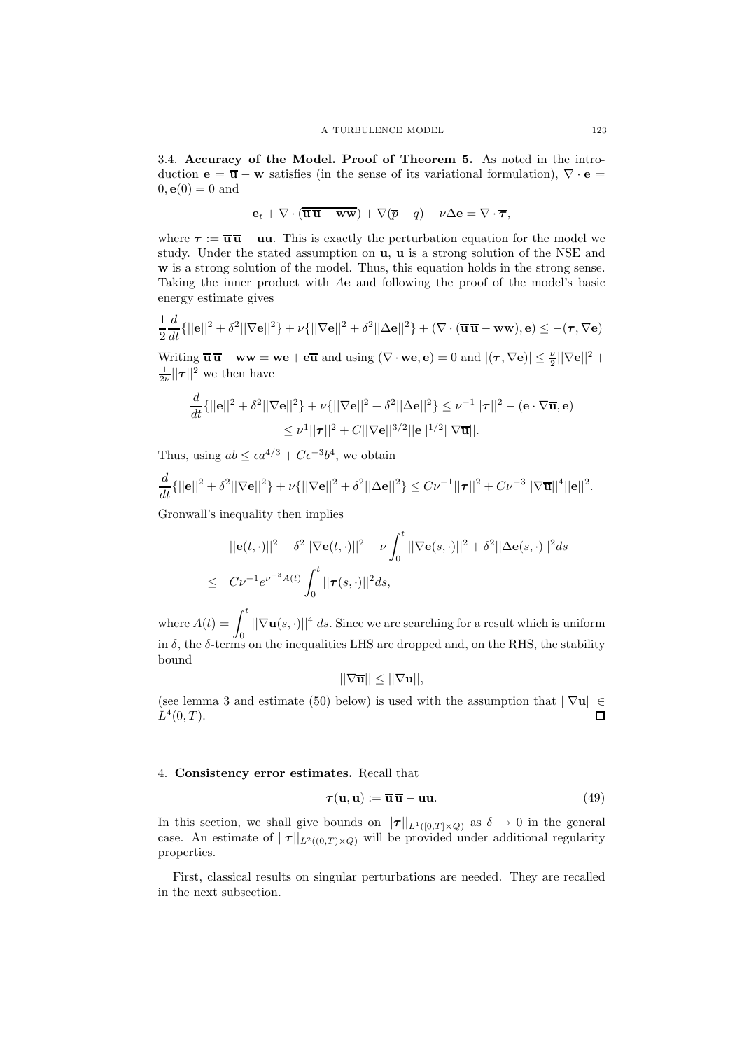3.4. Accuracy of the Model. Proof of Theorem 5. As noted in the introduction  $\mathbf{e} = \overline{\mathbf{u}} - \mathbf{w}$  satisfies (in the sense of its variational formulation),  $\nabla \cdot \mathbf{e} =$  $0, e(0) = 0$  and

$$
\mathbf{e}_t + \nabla \cdot (\overline{\overline{\mathbf{u}} \,\overline{\mathbf{u}} - \mathbf{w}\mathbf{w}}) + \nabla (\overline{p} - q) - \nu \Delta \mathbf{e} = \nabla \cdot \overline{\boldsymbol{\tau}},
$$

where  $\tau := \overline{\mathbf{u}} \overline{\mathbf{u}} - \mathbf{u} \mathbf{u}$ . This is exactly the perturbation equation for the model we study. Under the stated assumption on u, u is a strong solution of the NSE and w is a strong solution of the model. Thus, this equation holds in the strong sense. Taking the inner product with Ae and following the proof of the model's basic energy estimate gives

$$
\frac{1}{2}\frac{d}{dt}\{||\mathbf{e}||^2 + \delta^2||\nabla\mathbf{e}||^2\} + \nu\{||\nabla\mathbf{e}||^2 + \delta^2||\Delta\mathbf{e}||^2\} + (\nabla \cdot (\overline{\mathbf{u}} \overline{\mathbf{u}} - \mathbf{w}\mathbf{w}), \mathbf{e}) \le -(\tau, \nabla\mathbf{e})
$$

Writing  $\overline{\mathbf{u}} \overline{\mathbf{u}} - \mathbf{w} \mathbf{w} = \mathbf{w} \mathbf{e} + \mathbf{e} \overline{\mathbf{u}}$  and using  $(\nabla \cdot \mathbf{w} \mathbf{e}, \mathbf{e}) = 0$  and  $|(\boldsymbol{\tau}, \nabla \mathbf{e})| \leq \frac{\nu}{2} ||\nabla \mathbf{e}||^2 +$  $\frac{1}{2\nu}$ || $\tau$ ||<sup>2</sup> we then have

$$
\frac{d}{dt}\{||\mathbf{e}||^2 + \delta^2||\nabla\mathbf{e}||^2\} + \nu\{||\nabla\mathbf{e}||^2 + \delta^2||\Delta\mathbf{e}||^2\} \leq \nu^{-1}||\boldsymbol{\tau}||^2 - (\mathbf{e} \cdot \nabla \overline{\mathbf{u}}, \mathbf{e})
$$

$$
\leq \nu^1||\boldsymbol{\tau}||^2 + C||\nabla\mathbf{e}||^{3/2}||\mathbf{e}||^{1/2}||\nabla \overline{\mathbf{u}}||.
$$

Thus, using  $ab \leq \epsilon a^{4/3} + C \epsilon^{-3} b^4$ , we obtain

$$
\frac{d}{dt}\{||\mathbf{e}||^2 + \delta^2||\nabla\mathbf{e}||^2\} + \nu\{||\nabla\mathbf{e}||^2 + \delta^2||\Delta\mathbf{e}||^2\} \leq C\nu^{-1}||\boldsymbol{\tau}||^2 + C\nu^{-3}||\nabla\overline{\mathbf{u}}||^4||\mathbf{e}||^2.
$$

Gronwall's inequality then implies

d

$$
||\mathbf{e}(t, \cdot)||^2 + \delta^2 ||\nabla \mathbf{e}(t, \cdot)||^2 + \nu \int_0^t ||\nabla \mathbf{e}(s, \cdot)||^2 + \delta^2 ||\Delta \mathbf{e}(s, \cdot)||^2 ds
$$
  
\n
$$
\leq C \nu^{-1} e^{\nu^{-3} A(t)} \int_0^t ||\boldsymbol{\tau}(s, \cdot)||^2 ds,
$$

where  $A(t) = \int_0^t$  $\|\nabla \mathbf{u}(s, \cdot)\|^4 ds$ . Since we are searching for a result which is uniform in  $\delta$ , the  $\delta$ -terms on the inequalities LHS are dropped and, on the RHS, the stability bound

$$
||\nabla \overline{\mathbf{u}}|| \leq ||\nabla \mathbf{u}||,
$$

(see lemma 3 and estimate (50) below) is used with the assumption that  $||\nabla \mathbf{u}|| \in L^4(0, T)$  $L^4(0,T)$ .

### 4. Consistency error estimates. Recall that

$$
\tau(\mathbf{u}, \mathbf{u}) := \overline{\mathbf{u}} \, \overline{\mathbf{u}} - \mathbf{u} \mathbf{u}.\tag{49}
$$

In this section, we shall give bounds on  $||\tau||_{L^1([0,T]\times Q)}$  as  $\delta \to 0$  in the general case. An estimate of  $||\tau||_{L^2((0,T)\times Q)}$  will be provided under additional regularity properties.

First, classical results on singular perturbations are needed. They are recalled in the next subsection.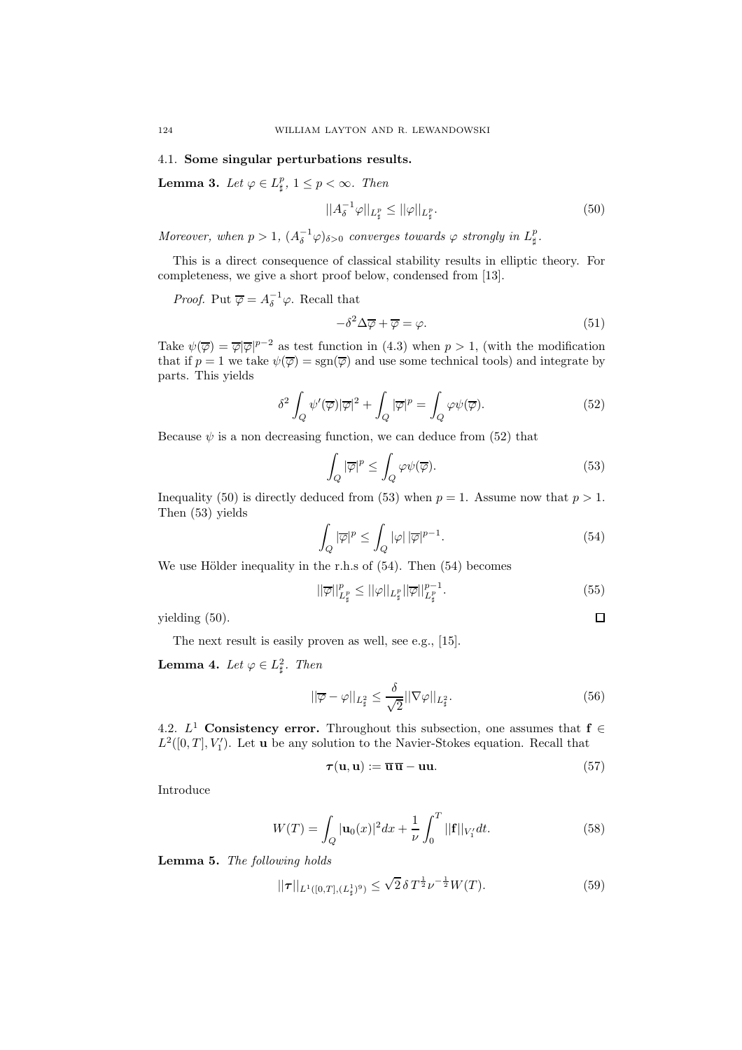# 4.1. Some singular perturbations results.

**Lemma 3.** Let  $\varphi \in L^p_{\sharp}$ ,  $1 \leq p < \infty$ . Then

$$
||A_{\delta}^{-1}\varphi||_{L_{\sharp}^p} \le ||\varphi||_{L_{\sharp}^p}.\tag{50}
$$

Moreover, when  $p > 1$ ,  $(A_\delta^{-1} \varphi)_{\delta > 0}$  converges towards  $\varphi$  strongly in  $L^p_{\sharp}$ .

This is a direct consequence of classical stability results in elliptic theory. For completeness, we give a short proof below, condensed from [13].

*Proof.* Put  $\overline{\varphi} = A_{\delta}^{-1} \varphi$ . Recall that

$$
-\delta^2 \Delta \overline{\varphi} + \overline{\varphi} = \varphi. \tag{51}
$$

Take  $\psi(\overline{\varphi}) = \overline{\varphi}|\overline{\varphi}|^{p-2}$  as test function in (4.3) when  $p > 1$ , (with the modification that if  $p = 1$  we take  $\psi(\overline{\varphi}) = \text{sgn}(\overline{\varphi})$  and use some technical tools) and integrate by parts. This yields

$$
\delta^2 \int_Q \psi'(\overline{\varphi}) |\overline{\varphi}|^2 + \int_Q |\overline{\varphi}|^p = \int_Q \varphi \psi(\overline{\varphi}). \tag{52}
$$

Because  $\psi$  is a non decreasing function, we can deduce from (52) that

$$
\int_{Q} |\overline{\varphi}|^{p} \le \int_{Q} \varphi \psi(\overline{\varphi}).\tag{53}
$$

Inequality (50) is directly deduced from (53) when  $p = 1$ . Assume now that  $p > 1$ . Then (53) yields

$$
\int_{Q} |\overline{\varphi}|^{p} \le \int_{Q} |\varphi| |\overline{\varphi}|^{p-1}.
$$
\n(54)

We use Hölder inequality in the r.h.s of  $(54)$ . Then  $(54)$  becomes

$$
||\overline{\varphi}||_{L^p_{\sharp}}^p \le ||\varphi||_{L^p_{\sharp}} ||\overline{\varphi}||_{L^p_{\sharp}}^{p-1}.
$$
\n(55)

 $\Box$ 

yielding (50).

The next result is easily proven as well, see e.g., [15].

**Lemma 4.** Let  $\varphi \in L^2_{\sharp}$ . Then

$$
||\overline{\varphi} - \varphi||_{L^2_{\sharp}} \le \frac{\delta}{\sqrt{2}} ||\nabla \varphi||_{L^2_{\sharp}}.
$$
\n(56)

4.2.  $L^1$  Consistency error. Throughout this subsection, one assumes that  $f \in$  $L^2([0,T], V'_1)$ . Let **u** be any solution to the Navier-Stokes equation. Recall that

$$
\boldsymbol{\tau}(\mathbf{u},\mathbf{u}) := \overline{\mathbf{u}} \,\overline{\mathbf{u}} - \mathbf{u}\mathbf{u}.\tag{57}
$$

Introduce

$$
W(T) = \int_{Q} |\mathbf{u}_{0}(x)|^{2} dx + \frac{1}{\nu} \int_{0}^{T} ||\mathbf{f}||_{V_{1}'} dt.
$$
 (58)

Lemma 5. The following holds

$$
||\tau||_{L^{1}([0,T],(L^{1}_{\sharp})^{9})} \leq \sqrt{2} \, \delta \, T^{\frac{1}{2}} \nu^{-\frac{1}{2}} W(T). \tag{59}
$$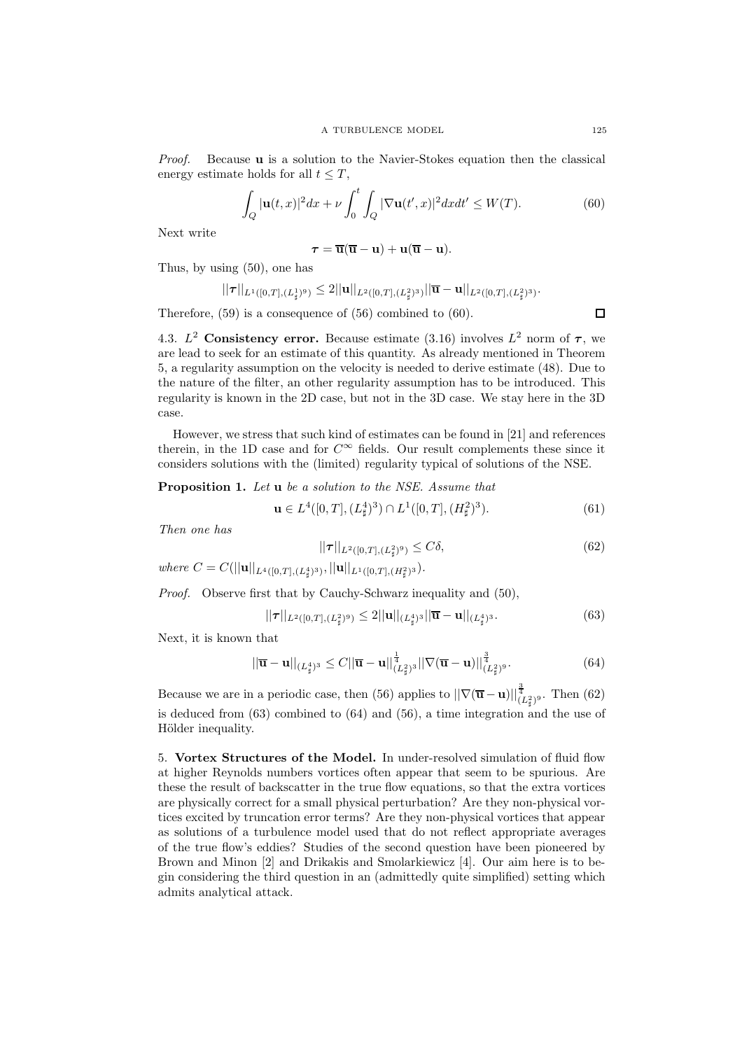Proof. Because u is a solution to the Navier-Stokes equation then the classical energy estimate holds for all  $t \leq T$ ,

$$
\int_{Q} |\mathbf{u}(t,x)|^2 dx + \nu \int_0^t \int_{Q} |\nabla \mathbf{u}(t',x)|^2 dx dt' \le W(T). \tag{60}
$$

Next write

$$
\boldsymbol{\tau} = \overline{\mathbf{u}}(\overline{\mathbf{u}} - \mathbf{u}) + \mathbf{u}(\overline{\mathbf{u}} - \mathbf{u}).
$$

Thus, by using (50), one has

$$
||\tau||_{L^1([0,T],(L^1_\sharp)^9)} \leq 2||\mathbf{u}||_{L^2([0,T],(L^2_\sharp)^3)} ||\overline{\mathbf{u}} - \mathbf{u}||_{L^2([0,T],(L^2_\sharp)^3)}.
$$

Therefore, (59) is a consequence of (56) combined to (60).

4.3.  $L^2$  Consistency error. Because estimate (3.16) involves  $L^2$  norm of  $\tau$ , we are lead to seek for an estimate of this quantity. As already mentioned in Theorem 5, a regularity assumption on the velocity is needed to derive estimate (48). Due to the nature of the filter, an other regularity assumption has to be introduced. This regularity is known in the 2D case, but not in the 3D case. We stay here in the 3D case.

However, we stress that such kind of estimates can be found in [21] and references therein, in the 1D case and for  $C^{\infty}$  fields. Our result complements these since it considers solutions with the (limited) regularity typical of solutions of the NSE.

# Proposition 1. Let u be a solution to the NSE. Assume that

$$
\mathbf{u} \in L^{4}([0, T], (L^{4}_{\sharp})^{3}) \cap L^{1}([0, T], (H^{2}_{\sharp})^{3}).
$$
\n(61)

Then one has

$$
||\boldsymbol{\tau}||_{L^2([0,T], (L^2_{\sharp})^9)} \le C\delta,
$$
\n(62)

where  $C = C(||\mathbf{u}||_{L^{4}([0,T],(L^{4}_{\sharp})^{3})}, ||\mathbf{u}||_{L^{1}([0,T],(H^{2}_{\sharp})^{3})}.$ 

Proof. Observe first that by Cauchy-Schwarz inequality and (50),

$$
||\boldsymbol{\tau}||_{L^{2}([0,T],(L^{2}_{\sharp})^{9})} \leq 2||\mathbf{u}||_{(L^{4}_{\sharp})^{3}}||\overline{\mathbf{u}} - \mathbf{u}||_{(L^{4}_{\sharp})^{3}}.
$$
\n(63)

Next, it is known that

$$
||\overline{\mathbf{u}} - \mathbf{u}||_{(L^4_\sharp)^3} \le C ||\overline{\mathbf{u}} - \mathbf{u}||_{(L^2_\sharp)^3}^{\frac{1}{4}} ||\nabla(\overline{\mathbf{u}} - \mathbf{u})||_{(L^2_\sharp)^9}^{\frac{3}{4}}.
$$
 (64)

Because we are in a periodic case, then (56) applies to  $\|\nabla(\overline{\mathbf{u}} - \mathbf{u})\|_{(L^2_{\sharp})^9}^{\frac{3}{4}}$ . Then (62) is deduced from (63) combined to (64) and (56), a time integration and the use of Hölder inequality.

5. Vortex Structures of the Model. In under-resolved simulation of fluid flow at higher Reynolds numbers vortices often appear that seem to be spurious. Are these the result of backscatter in the true flow equations, so that the extra vortices are physically correct for a small physical perturbation? Are they non-physical vortices excited by truncation error terms? Are they non-physical vortices that appear as solutions of a turbulence model used that do not reflect appropriate averages of the true flow's eddies? Studies of the second question have been pioneered by Brown and Minon [2] and Drikakis and Smolarkiewicz [4]. Our aim here is to begin considering the third question in an (admittedly quite simplified) setting which admits analytical attack.

 $\Box$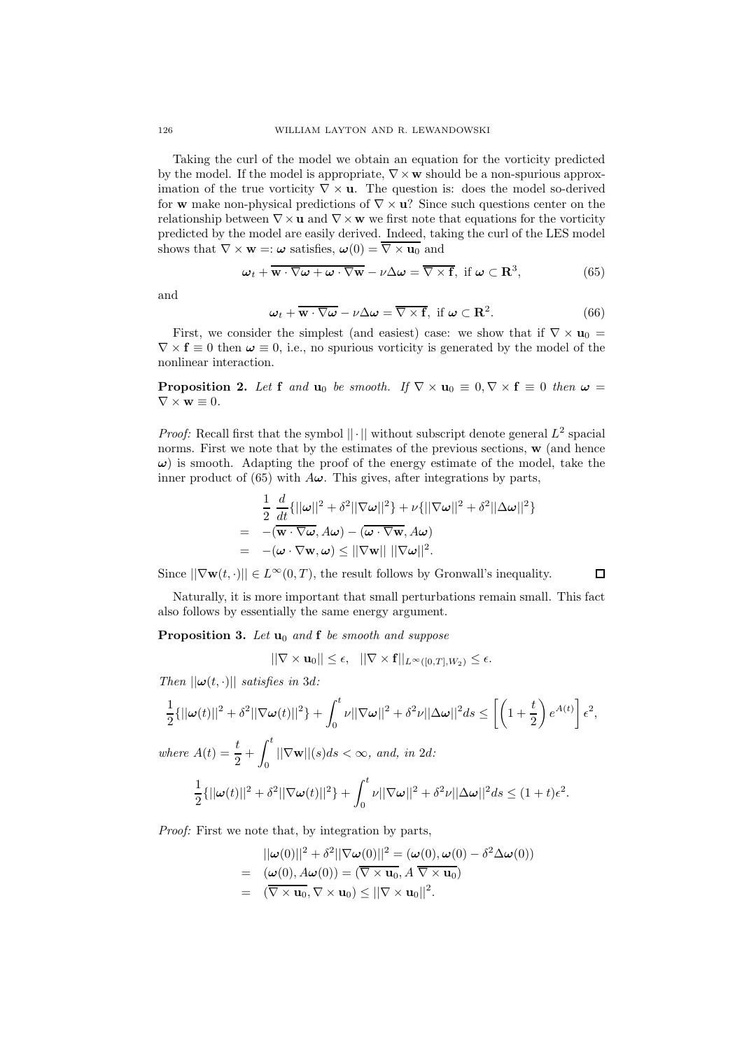Taking the curl of the model we obtain an equation for the vorticity predicted by the model. If the model is appropriate,  $\nabla \times \mathbf{w}$  should be a non-spurious approximation of the true vorticity  $\nabla \times \mathbf{u}$ . The question is: does the model so-derived for w make non-physical predictions of  $\nabla \times \mathbf{u}$ ? Since such questions center on the relationship between  $\nabla \times \mathbf{u}$  and  $\nabla \times \mathbf{w}$  we first note that equations for the vorticity predicted by the model are easily derived. Indeed, taking the curl of the LES model shows that  $\nabla \times \mathbf{w} =: \boldsymbol{\omega}$  satisfies,  $\boldsymbol{\omega}(0) = \overline{\nabla \times \mathbf{u}_0}$  and

$$
\boldsymbol{\omega}_t + \overline{\mathbf{w} \cdot \nabla \boldsymbol{\omega} + \boldsymbol{\omega} \cdot \nabla \mathbf{w}} - \nu \Delta \boldsymbol{\omega} = \overline{\nabla \times \mathbf{f}}, \text{ if } \boldsymbol{\omega} \subset \mathbf{R}^3,
$$
 (65)

and

$$
\omega_t + \overline{\mathbf{w} \cdot \nabla \omega} - \nu \Delta \omega = \overline{\nabla \times \mathbf{f}}, \text{ if } \omega \subset \mathbf{R}^2. \tag{66}
$$

First, we consider the simplest (and easiest) case: we show that if  $\nabla \times \mathbf{u}_0 =$  $\nabla \times \mathbf{f} \equiv 0$  then  $\boldsymbol{\omega} \equiv 0$ , i.e., no spurious vorticity is generated by the model of the nonlinear interaction.

**Proposition 2.** Let f and  $\mathbf{u}_0$  be smooth. If  $\nabla \times \mathbf{u}_0 \equiv 0, \nabla \times \mathbf{f} \equiv 0$  then  $\boldsymbol{\omega} =$  $\nabla \times \mathbf{w} \equiv 0.$ 

*Proof:* Recall first that the symbol  $|| \cdot ||$  without subscript denote general  $L^2$  spacial norms. First we note that by the estimates of the previous sections,  $\bf{w}$  (and hence  $\omega$ ) is smooth. Adapting the proof of the energy estimate of the model, take the inner product of (65) with  $A\omega$ . This gives, after integrations by parts,

$$
\frac{1}{2} \frac{d}{dt} \{ ||\omega||^2 + \delta^2 ||\nabla \omega||^2 \} + \nu \{ ||\nabla \omega||^2 + \delta^2 ||\Delta \omega||^2 \}
$$
\n
$$
= -(\overline{\mathbf{w} \cdot \nabla \omega}, A\omega) - (\overline{\omega \cdot \nabla \mathbf{w}}, A\omega)
$$
\n
$$
= -(\omega \cdot \nabla \mathbf{w}, \omega) \le ||\nabla \mathbf{w}|| ||\nabla \omega||^2.
$$

Since  $||\nabla \mathbf{w}(t, \cdot)|| \in L^{\infty}(0,T)$ , the result follows by Gronwall's inequality.

 $\Box$ 

Naturally, it is more important that small perturbations remain small. This fact also follows by essentially the same energy argument.

**Proposition 3.** Let  $\mathbf{u}_0$  and  $\mathbf{f}$  be smooth and suppose

$$
||\nabla \times \mathbf{u}_0|| \leq \epsilon, \quad ||\nabla \times \mathbf{f}||_{L^{\infty}([0,T],W_2)} \leq \epsilon.
$$

Then  $||\boldsymbol{\omega}(t, \cdot)||$  satisfies in 3d:

$$
\frac{1}{2}\{||\boldsymbol{\omega}(t)||^2 + \delta^2||\nabla\boldsymbol{\omega}(t)||^2\} + \int_0^t \nu||\nabla\boldsymbol{\omega}||^2 + \delta^2\nu||\Delta\boldsymbol{\omega}||^2 ds \le \left[\left(1 + \frac{t}{2}\right)e^{A(t)}\right]\epsilon^2,
$$
\nwhere  $A(t) = \frac{t}{2} + \int_0^t ||\nabla\mathbf{w}||(s)ds < \infty$ , and, in 2d:\n
$$
\frac{1}{2}\{||\boldsymbol{\omega}(t)||^2 + \delta^2||\nabla\boldsymbol{\omega}(t)||^2\} + \int_0^t \nu||\nabla\boldsymbol{\omega}||^2 + \delta^2\nu||\Delta\boldsymbol{\omega}||^2 ds \le (1 + t)\epsilon^2.
$$

Proof: First we note that, by integration by parts,

$$
||\boldsymbol{\omega}(0)||^2 + \delta^2 ||\nabla \boldsymbol{\omega}(0)||^2 = (\boldsymbol{\omega}(0), \boldsymbol{\omega}(0) - \delta^2 \Delta \boldsymbol{\omega}(0))
$$
  
= 
$$
(\boldsymbol{\omega}(0), A\boldsymbol{\omega}(0)) = (\overline{\nabla \times \mathbf{u}_0}, A \overline{\nabla \times \mathbf{u}_0})
$$
  
= 
$$
(\overline{\nabla \times \mathbf{u}_0}, \nabla \times \mathbf{u}_0) \le ||\nabla \times \mathbf{u}_0||^2.
$$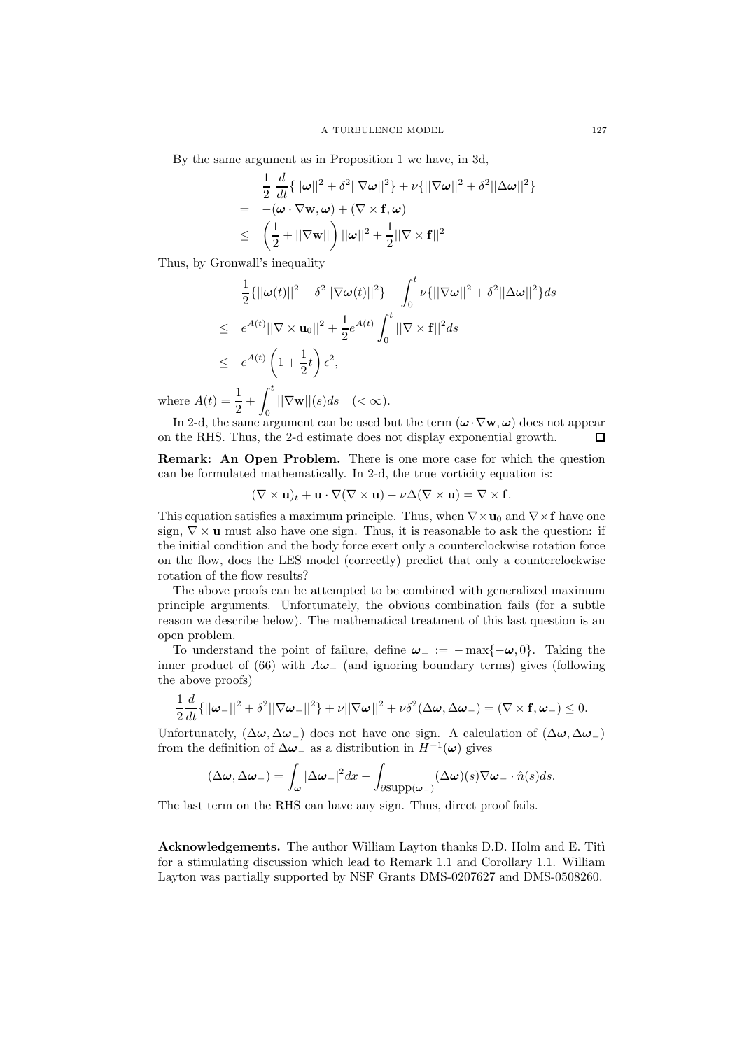By the same argument as in Proposition 1 we have, in 3d,

$$
\frac{1}{2} \frac{d}{dt} \{ ||\boldsymbol{\omega}||^2 + \delta^2 ||\nabla \boldsymbol{\omega}||^2 \} + \nu \{ ||\nabla \boldsymbol{\omega}||^2 + \delta^2 ||\Delta \boldsymbol{\omega}||^2 \}
$$
\n
$$
= -(\boldsymbol{\omega} \cdot \nabla \mathbf{w}, \boldsymbol{\omega}) + (\nabla \times \mathbf{f}, \boldsymbol{\omega})
$$
\n
$$
\leq \left( \frac{1}{2} + ||\nabla \mathbf{w}|| \right) ||\boldsymbol{\omega}||^2 + \frac{1}{2} ||\nabla \times \mathbf{f}||^2
$$

Thus, by Gronwall's inequality

$$
\frac{1}{2}\{||\boldsymbol{\omega}(t)||^2 + \delta^2||\nabla \boldsymbol{\omega}(t)||^2\} + \int_0^t \nu\{||\nabla \boldsymbol{\omega}||^2 + \delta^2||\Delta \boldsymbol{\omega}||^2\}ds
$$
\n
$$
\leq e^{A(t)}||\nabla \times \mathbf{u}_0||^2 + \frac{1}{2}e^{A(t)}\int_0^t ||\nabla \times \mathbf{f}||^2ds
$$
\n
$$
\leq e^{A(t)} \left(1 + \frac{1}{2}t\right) \epsilon^2,
$$
\nwhere  $A(t) = \frac{1}{2} + \int_0^t ||\nabla \mathbf{w}||(s)ds \quad (< \infty).$ 

2 In 2-d, the same argument can be used but the term  $(\boldsymbol{\omega} \cdot \nabla \mathbf{w}, \boldsymbol{\omega})$  does not appear on the RHS. Thus, the 2-d estimate does not display exponential growth.

Remark: An Open Problem. There is one more case for which the question can be formulated mathematically. In 2-d, the true vorticity equation is:

$$
(\nabla \times \mathbf{u})_t + \mathbf{u} \cdot \nabla (\nabla \times \mathbf{u}) - \nu \Delta (\nabla \times \mathbf{u}) = \nabla \times \mathbf{f}.
$$

This equation satisfies a maximum principle. Thus, when  $\nabla \times \mathbf{u}_0$  and  $\nabla \times \mathbf{f}$  have one sign,  $\nabla \times \mathbf{u}$  must also have one sign. Thus, it is reasonable to ask the question: if the initial condition and the body force exert only a counterclockwise rotation force on the flow, does the LES model (correctly) predict that only a counterclockwise rotation of the flow results?

The above proofs can be attempted to be combined with generalized maximum principle arguments. Unfortunately, the obvious combination fails (for a subtle reason we describe below). The mathematical treatment of this last question is an open problem.

To understand the point of failure, define  $\omega_- := -\max\{-\omega, 0\}$ . Taking the inner product of (66) with  $A\omega_{-}$  (and ignoring boundary terms) gives (following the above proofs)

$$
\frac{1}{2}\frac{d}{dt}\{||\boldsymbol{\omega}_{-}||^{2}+\delta^{2}||\nabla \boldsymbol{\omega}_{-}||^{2}\}+\nu||\nabla \boldsymbol{\omega}||^{2}+\nu\delta^{2}(\Delta \boldsymbol{\omega},\Delta \boldsymbol{\omega}_{-})=(\nabla \times \mathbf{f},\boldsymbol{\omega}_{-})\leq 0.
$$

Unfortunately,  $(\Delta \omega, \Delta \omega)$  does not have one sign. A calculation of  $(\Delta \omega, \Delta \omega)$ from the definition of  $\Delta\omega_$  as a distribution in  $H^{-1}(\omega)$  gives

$$
(\Delta \omega, \Delta \omega_{-}) = \int_{\omega} |\Delta \omega_{-}|^{2} dx - \int_{\partial \text{supp}(\omega_{-})} (\Delta \omega)(s) \nabla \omega_{-} \cdot \hat{n}(s) ds.
$$

The last term on the RHS can have any sign. Thus, direct proof fails.

Acknowledgements. The author William Layton thanks D.D. Holm and E. Titi for a stimulating discussion which lead to Remark 1.1 and Corollary 1.1. William Layton was partially supported by NSF Grants DMS-0207627 and DMS-0508260.